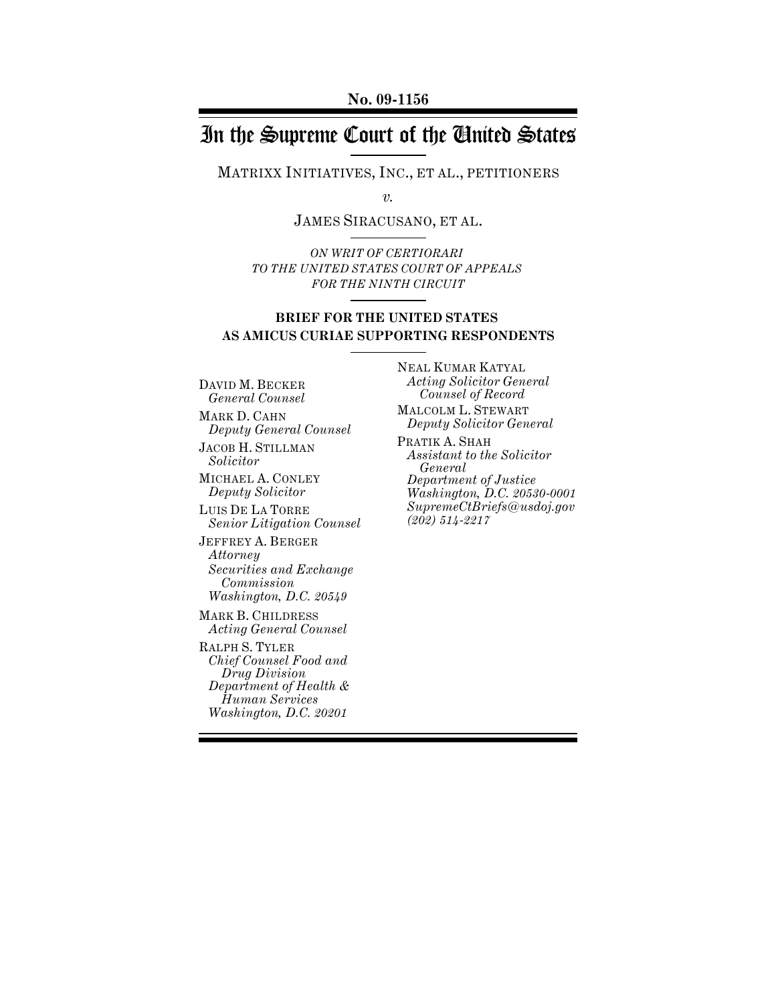# In the Supreme Court of the United States

MATRIXX INITIATIVES, INC., ET AL., PETITIONERS

*v.*

JAMES SIRACUSANO, ET AL.

*ON WRIT OF CERTIORARI TO THE UNITED STATES COURT OF APPEALS FOR THE NINTH CIRCUIT*

# **BRIEF FOR THE UNITED STATES AS AMICUS CURIAE SUPPORTING RESPONDENTS**

DAVID M. BECKER *General Counsel*

MARK D. CAHN *Deputy General Counsel*

JACOB H. STILLMAN *Solicitor*

MICHAEL A. CONLEY *Deputy Solicitor*

LUIS DE LA TORRE *Senior Litigation Counsel*

JEFFREY A. BERGER *Attorney Securities and Exchange Commission Washington, D.C. 20549*

MARK B. CHILDRESS *Acting General Counsel* 

RALPH S. TYLER *Chief Counsel Food and Drug Division Department of Health & Human Services Washington, D.C. 20201*

NEAL KUMAR KATYAL *Acting Solicitor General Counsel of Record* MALCOLM L. STEWART

*Deputy Solicitor General* PRATIK A. SHAH *Assistant to the Solicitor General Department of Justice Washington, D.C. 20530-0001 SupremeCtBriefs@usdoj.gov*

*(202) 514-2217*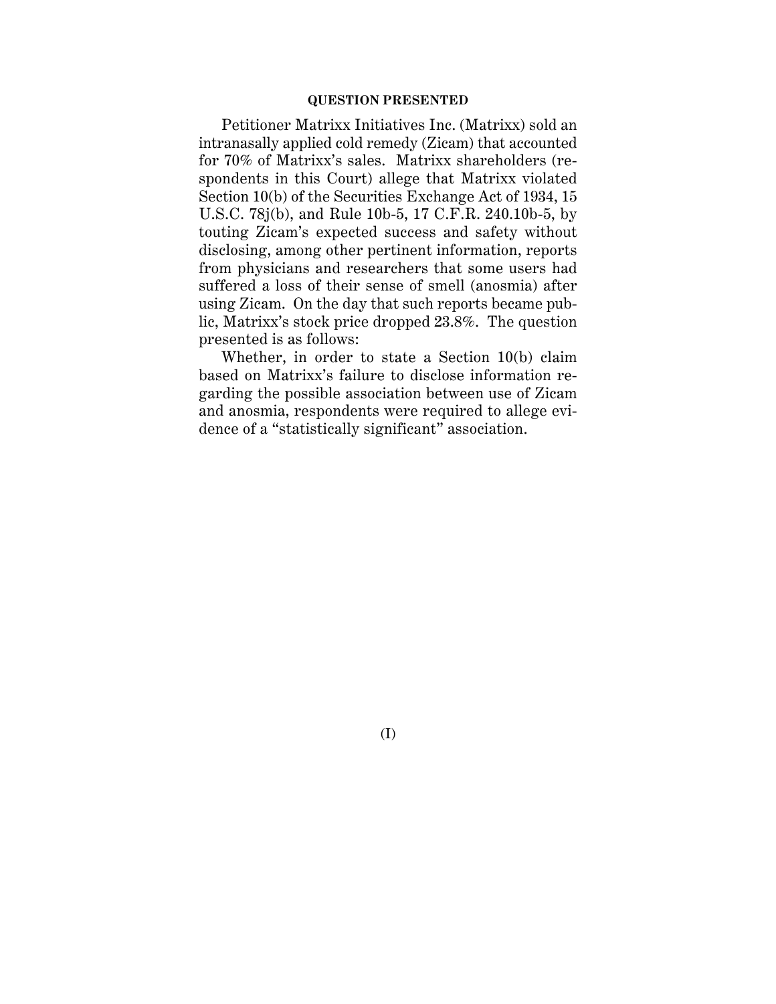### **QUESTION PRESENTED**

Petitioner Matrixx Initiatives Inc. (Matrixx) sold an intranasally applied cold remedy (Zicam) that accounted for 70% of Matrixx's sales. Matrixx shareholders (respondents in this Court) allege that Matrixx violated Section 10(b) of the Securities Exchange Act of 1934, 15 U.S.C. 78j(b), and Rule 10b-5, 17 C.F.R. 240.10b-5, by touting Zicam's expected success and safety without disclosing, among other pertinent information, reports from physicians and researchers that some users had suffered a loss of their sense of smell (anosmia) after using Zicam. On the day that such reports became public, Matrixx's stock price dropped 23.8%. The question presented is as follows:

Whether, in order to state a Section 10(b) claim based on Matrixx's failure to disclose information regarding the possible association between use of Zicam and anosmia, respondents were required to allege evidence of a "statistically significant" association.

(I)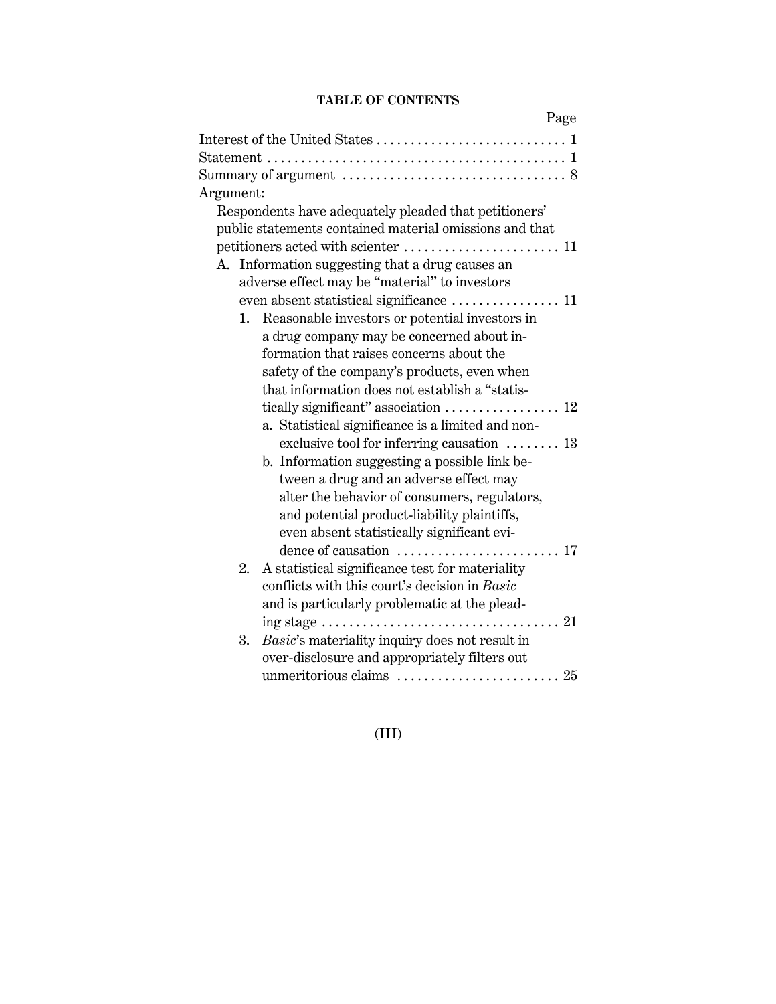# **TABLE OF CONTENTS**

| Page                                                                                   |
|----------------------------------------------------------------------------------------|
|                                                                                        |
|                                                                                        |
|                                                                                        |
| Argument:                                                                              |
| Respondents have adequately pleaded that petitioners'                                  |
| public statements contained material omissions and that                                |
|                                                                                        |
| Information suggesting that a drug causes an<br>А.                                     |
| adverse effect may be "material" to investors                                          |
|                                                                                        |
| Reasonable investors or potential investors in<br>1.                                   |
| a drug company may be concerned about in-                                              |
| formation that raises concerns about the                                               |
| safety of the company's products, even when                                            |
| that information does not establish a "statis-                                         |
| tically significant" association  12                                                   |
| a. Statistical significance is a limited and non-                                      |
| exclusive tool for inferring causation  13                                             |
| b. Information suggesting a possible link be-                                          |
| tween a drug and an adverse effect may                                                 |
| alter the behavior of consumers, regulators,                                           |
| and potential product-liability plaintiffs,                                            |
| even absent statistically significant evi-                                             |
| dence of causation  17                                                                 |
| A statistical significance test for materiality<br>2.                                  |
| conflicts with this court's decision in Basic                                          |
| and is particularly problematic at the plead-                                          |
| ing stage $\dots \dots \dots \dots \dots \dots \dots \dots \dots \dots \dots \dots 21$ |
| Basic's materiality inquiry does not result in<br>3.                                   |
| over-disclosure and appropriately filters out                                          |
|                                                                                        |

# (III)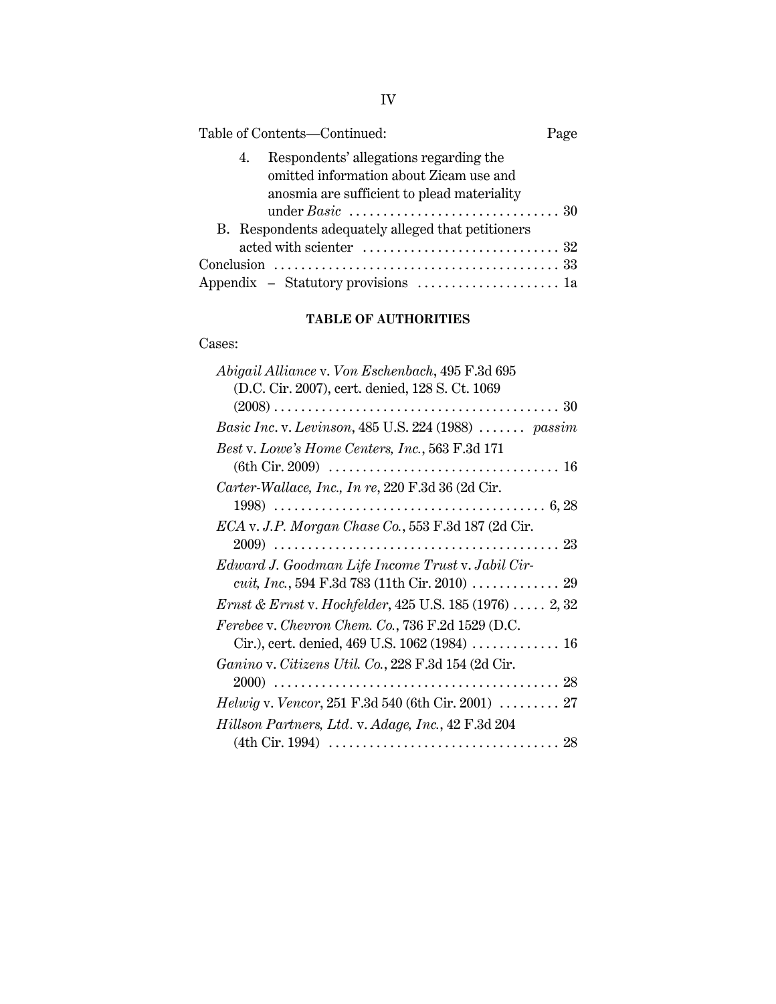| Table of Contents—Continued:                                                                                                           | Page |
|----------------------------------------------------------------------------------------------------------------------------------------|------|
| Respondents' allegations regarding the<br>4.<br>omitted information about Zicam use and<br>anosmia are sufficient to plead materiality |      |
| B. Respondents adequately alleged that petitioners                                                                                     |      |
|                                                                                                                                        |      |
|                                                                                                                                        |      |
| Appendix - Statutory provisions  1a                                                                                                    |      |

# **TABLE OF AUTHORITIES**

### Cases:

| Abigail Alliance v. Von Eschenbach, 495 F.3d 695                           |
|----------------------------------------------------------------------------|
| (D.C. Cir. 2007), cert. denied, 128 S. Ct. 1069                            |
|                                                                            |
| Basic Inc. v. Levinson, 485 U.S. 224 (1988)  passim                        |
| Best v. Lowe's Home Centers, Inc., 563 F.3d 171                            |
|                                                                            |
| Carter-Wallace, Inc., In re, 220 F.3d 36 (2d Cir.                          |
|                                                                            |
| ECA v. J.P. Morgan Chase Co., 553 F.3d 187 (2d Cir.                        |
|                                                                            |
| Edward J. Goodman Life Income Trust v. Jabil Cir-                          |
|                                                                            |
| <i>Ernst &amp; Ernst v. Hochfelder, 425 U.S.</i> 185 (1976) $\ldots$ 2, 32 |
| Ferebee v. Chevron Chem. Co., 736 F.2d 1529 (D.C.                          |
|                                                                            |
| Ganino v. Citizens Util. Co., 228 F.3d 154 (2d Cir.                        |
|                                                                            |
| <i>Helwig v. Vencor</i> , 251 F.3d 540 (6th Cir. 2001)  27                 |
| Hillson Partners, Ltd. v. Adage, Inc., 42 F.3d 204                         |
|                                                                            |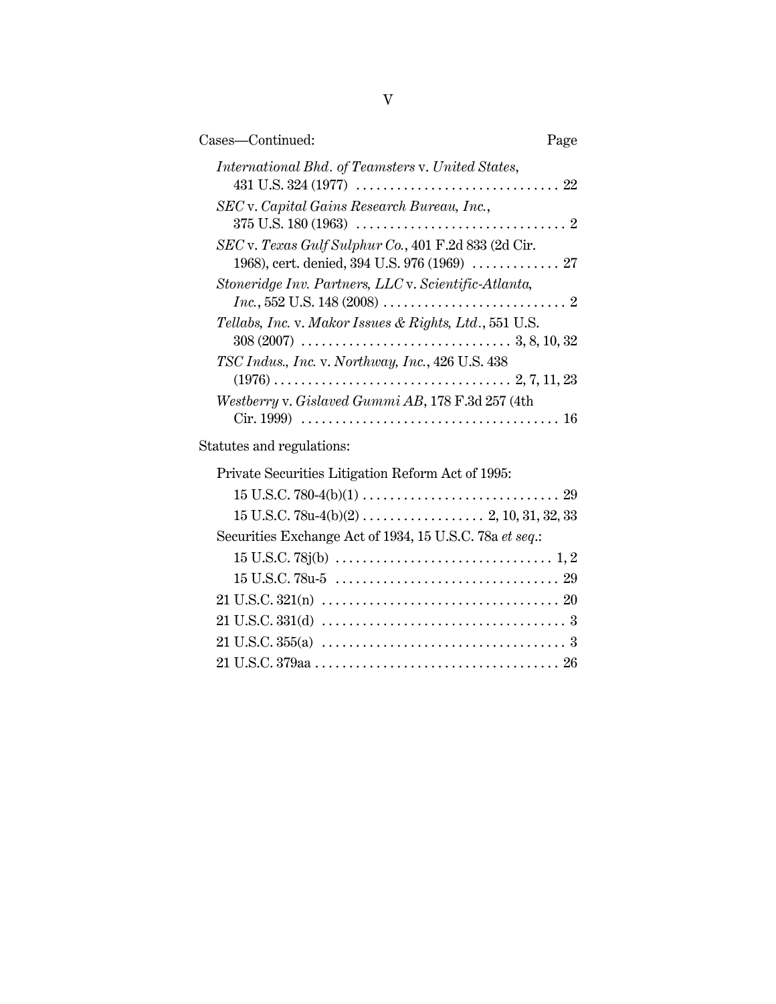| Cases—Continued:                                                                                                                                        | Page |
|---------------------------------------------------------------------------------------------------------------------------------------------------------|------|
| <i>International Bhd. of Teamsters v. United States,</i>                                                                                                |      |
| SEC v. Capital Gains Research Bureau, Inc.,                                                                                                             |      |
| SEC v. Texas Gulf Sulphur Co., 401 F.2d 833 (2d Cir.<br>1968), cert. denied, 394 U.S. 976 (1969)  27                                                    |      |
| Stoneridge Inv. Partners, LLC v. Scientific-Atlanta,<br>$Inc., 552 \text{ U.S. } 148 \, (2008) \dots \dots \dots \dots \dots \dots \dots \dots \dots 2$ |      |
| Tellabs, Inc. v. Makor Issues & Rights, Ltd., 551 U.S.                                                                                                  |      |
| TSC Indus., Inc. v. Northway, Inc., 426 U.S. 438                                                                                                        |      |
| Westberry v. Gislaved Gummi AB, 178 F.3d 257 (4th                                                                                                       |      |
| Statutes and regulations:                                                                                                                               |      |

| Private Securities Litigation Reform Act of 1995:       |
|---------------------------------------------------------|
|                                                         |
|                                                         |
| Securities Exchange Act of 1934, 15 U.S.C. 78a et seq.: |
|                                                         |
|                                                         |
|                                                         |
|                                                         |
|                                                         |
|                                                         |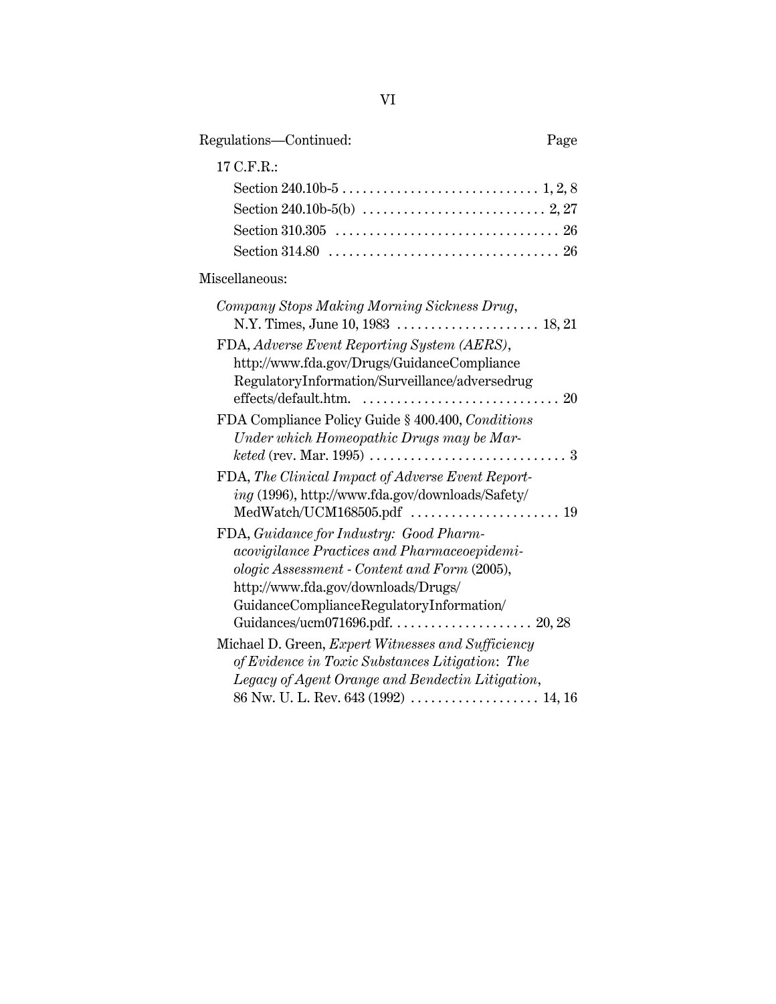| Regulations-Continued:                                                                                                                                                                                                                                         | Page |
|----------------------------------------------------------------------------------------------------------------------------------------------------------------------------------------------------------------------------------------------------------------|------|
| 17 C.F.R.:                                                                                                                                                                                                                                                     |      |
|                                                                                                                                                                                                                                                                |      |
|                                                                                                                                                                                                                                                                |      |
| Miscellaneous:                                                                                                                                                                                                                                                 |      |
| Company Stops Making Morning Sickness Drug,                                                                                                                                                                                                                    |      |
| FDA, Adverse Event Reporting System (AERS),<br>http://www.fda.gov/Drugs/GuidanceCompliance<br>RegulatoryInformation/Surveillance/adversedrug<br>effects/default.htm.                                                                                           |      |
| FDA Compliance Policy Guide § 400.400, Conditions<br>Under which Homeopathic Drugs may be Mar-                                                                                                                                                                 |      |
| FDA, The Clinical Impact of Adverse Event Report-<br>ing (1996), http://www.fda.gov/downloads/Safety/<br>MedWatch/UCM168505.pdf  19                                                                                                                            |      |
| FDA, Guidance for Industry: Good Pharm-<br>acovigilance Practices and Pharmaceoepidemi-<br>ologic Assessment - Content and Form (2005),<br>http://www.fda.gov/downloads/Drugs/<br>GuidanceComplianceRegulatoryInformation/<br>Guidances/ucm071696.pdf.  20, 28 |      |
| Michael D. Green, Expert Witnesses and Sufficiency<br>of Evidence in Toxic Substances Litigation: The<br>Legacy of Agent Orange and Bendectin Litigation,                                                                                                      |      |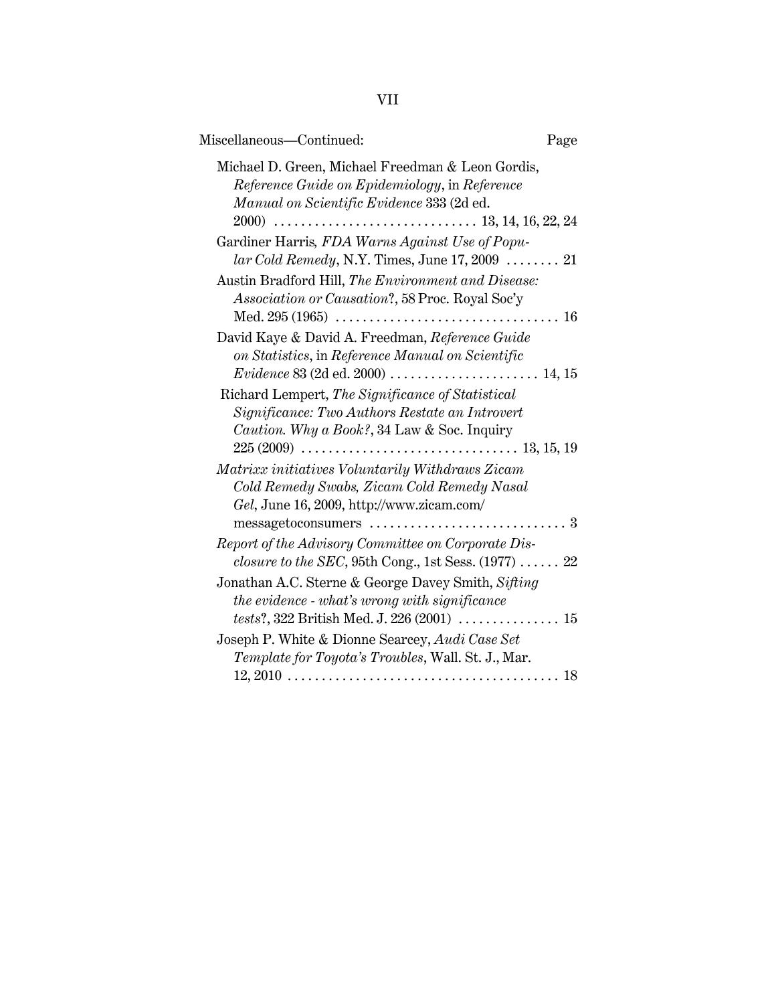| Miscellaneous-Continued:<br>Page                                                                                                                                                                                           |  |
|----------------------------------------------------------------------------------------------------------------------------------------------------------------------------------------------------------------------------|--|
| Michael D. Green, Michael Freedman & Leon Gordis,<br>Reference Guide on Epidemiology, in Reference<br>Manual on Scientific Evidence 333 (2d ed.                                                                            |  |
| Gardiner Harris, FDA Warns Against Use of Popu-<br>$lar Cold$ $Remedy$ , N.Y. Times, June 17, 2009 $\dots \dots 21$                                                                                                        |  |
| Austin Bradford Hill, The Environment and Disease:<br><i>Association or Causation?</i> , 58 Proc. Royal Soc'y                                                                                                              |  |
| David Kaye & David A. Freedman, Reference Guide<br>on Statistics, in Reference Manual on Scientific                                                                                                                        |  |
| Richard Lempert, The Significance of Statistical<br>Significance: Two Authors Restate an Introvert<br>Caution. Why a Book?, 34 Law & Soc. Inquiry                                                                          |  |
| Matrixx initiatives Voluntarily Withdraws Zicam<br>Cold Remedy Swabs, Zicam Cold Remedy Nasal<br>Gel, June 16, 2009, http://www.zicam.com/<br>messagetoconsumers $\ldots \ldots \ldots \ldots \ldots \ldots \ldots \ldots$ |  |
| Report of the Advisory Committee on Corporate Dis-<br><i>closure to the SEC</i> , 95th Cong., 1st Sess. $(1977)$ 22                                                                                                        |  |
| Jonathan A.C. Sterne & George Davey Smith, Sifting<br>the evidence - what's wrong with significance<br><i>tests</i> ?, 322 British Med. J. 226 (2001) $\ldots \ldots \ldots \ldots \ldots 15$                              |  |
| Joseph P. White & Dionne Searcey, Audi Case Set<br>Template for Toyota's Troubles, Wall. St. J., Mar.                                                                                                                      |  |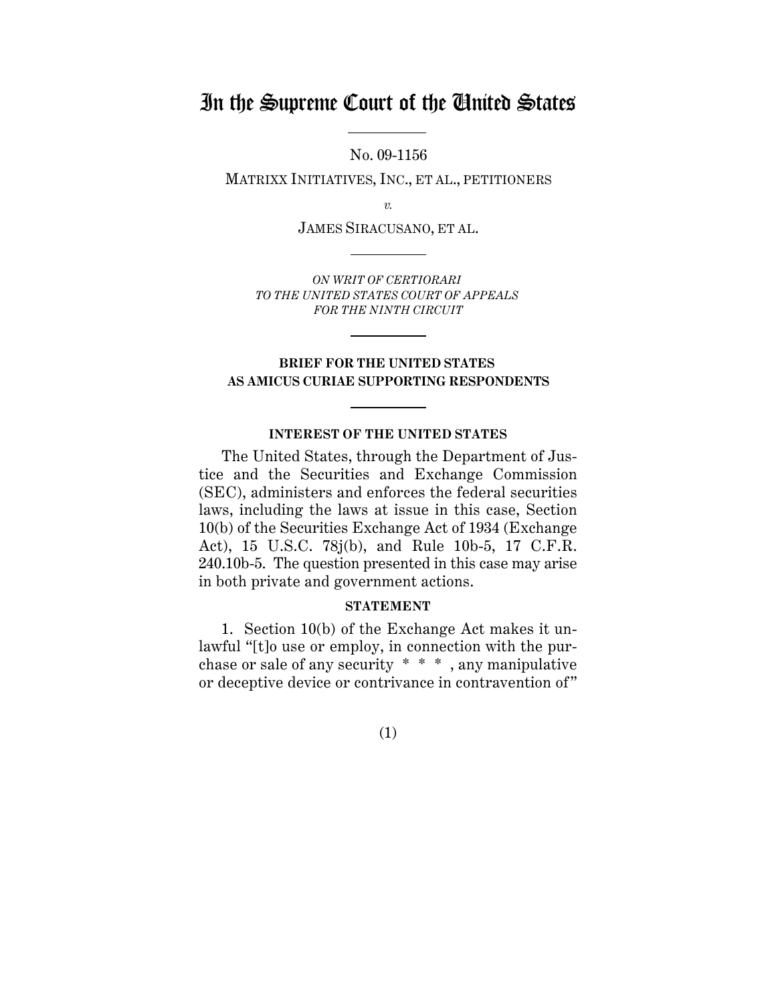# In the Supreme Court of the United States

No. 09-1156

MATRIXX INITIATIVES, INC., ET AL., PETITIONERS

*v.*

JAMES SIRACUSANO, ET AL.

*ON WRIT OF CERTIORARI TO THE UNITED STATES COURT OF APPEALS FOR THE NINTH CIRCUIT*

# **BRIEF FOR THE UNITED STATES AS AMICUS CURIAE SUPPORTING RESPONDENTS**

### **INTEREST OF THE UNITED STATES**

The United States, through the Department of Justice and the Securities and Exchange Commission (SEC), administers and enforces the federal securities laws, including the laws at issue in this case, Section 10(b) of the Securities Exchange Act of 1934 (Exchange Act), 15 U.S.C. 78j(b), and Rule 10b-5, 17 C.F.R. 240.10b-5. The question presented in this case may arise in both private and government actions.

### **STATEMENT**

1. Section 10(b) of the Exchange Act makes it unlawful "[t]o use or employ, in connection with the purchase or sale of any security \* \* \* , any manipulative or deceptive device or contrivance in contravention of"

(1)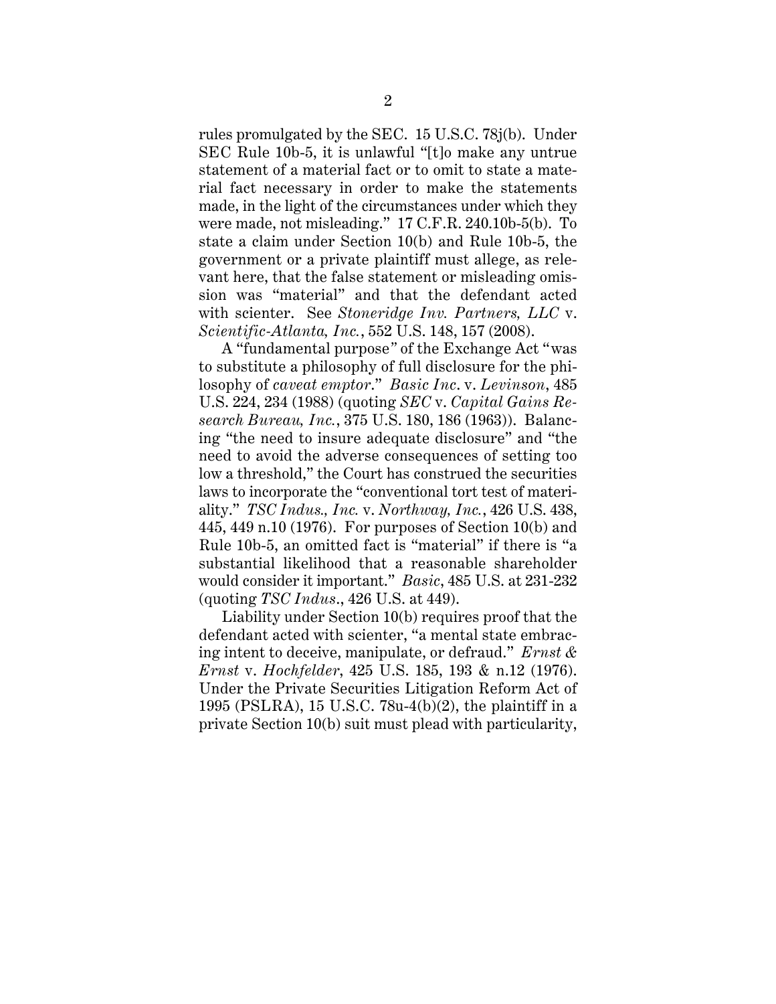rules promulgated by the SEC. 15 U.S.C. 78j(b). Under SEC Rule 10b-5, it is unlawful "[t]o make any untrue statement of a material fact or to omit to state a material fact necessary in order to make the statements made, in the light of the circumstances under which they were made, not misleading." 17 C.F.R. 240.10b-5(b). To state a claim under Section 10(b) and Rule 10b-5, the government or a private plaintiff must allege, as relevant here, that the false statement or misleading omission was "material" and that the defendant acted with scienter. See *Stoneridge Inv. Partners, LLC* v. *Scientific-Atlanta, Inc.*, 552 U.S. 148, 157 (2008).

A "fundamental purpose*"* of the Exchange Act "was to substitute a philosophy of full disclosure for the philosophy of *caveat emptor*." *Basic Inc*. v. *Levinson*, 485 U.S. 224, 234 (1988) (quoting *SEC* v. *Capital Gains Research Bureau, Inc.*, 375 U.S. 180, 186 (1963)). Balancing "the need to insure adequate disclosure" and "the need to avoid the adverse consequences of setting too low a threshold," the Court has construed the securities laws to incorporate the "conventional tort test of materiality." *TSC Indus., Inc.* v. *Northway, Inc.*, 426 U.S. 438, 445, 449 n.10 (1976). For purposes of Section 10(b) and Rule 10b-5, an omitted fact is "material" if there is "a substantial likelihood that a reasonable shareholder would consider it important." *Basic*, 485 U.S. at 231-232 (quoting *TSC Indus*., 426 U.S. at 449).

Liability under Section 10(b) requires proof that the defendant acted with scienter, "a mental state embracing intent to deceive, manipulate, or defraud." *Ernst & Ernst* v. *Hochfelder*, 425 U.S. 185, 193 & n.12 (1976). Under the Private Securities Litigation Reform Act of 1995 (PSLRA), 15 U.S.C. 78u-4(b)(2), the plaintiff in a private Section 10(b) suit must plead with particularity,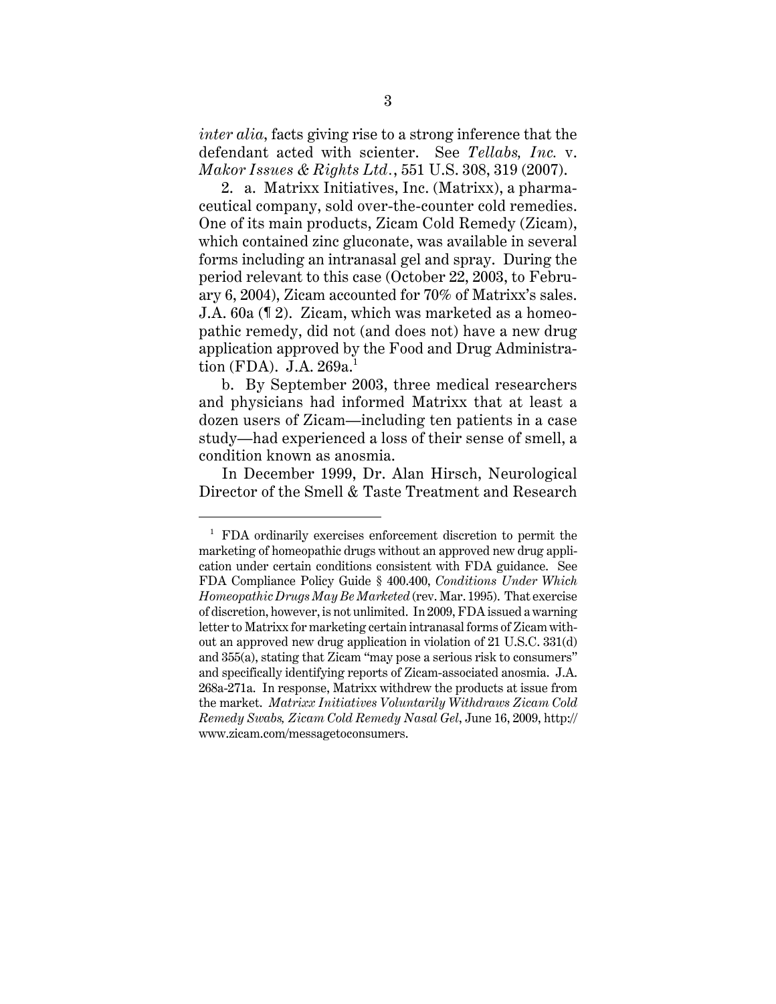*inter alia*, facts giving rise to a strong inference that the defendant acted with scienter. See *Tellabs, Inc.* v. *Makor Issues & Rights Ltd.*, 551 U.S. 308, 319 (2007).

2. a. Matrixx Initiatives, Inc. (Matrixx), a pharmaceutical company, sold over-the-counter cold remedies. One of its main products, Zicam Cold Remedy (Zicam), which contained zinc gluconate, was available in several forms including an intranasal gel and spray. During the period relevant to this case (October 22, 2003, to February 6, 2004), Zicam accounted for 70% of Matrixx's sales. J.A. 60a (¶ 2). Zicam, which was marketed as a homeopathic remedy, did not (and does not) have a new drug application approved by the Food and Drug Administration (FDA). J.A.  $269a<sup>1</sup>$ 

b. By September 2003, three medical researchers and physicians had informed Matrixx that at least a dozen users of Zicam—including ten patients in a case study—had experienced a loss of their sense of smell, a condition known as anosmia.

In December 1999, Dr. Alan Hirsch, Neurological Director of the Smell & Taste Treatment and Research

 $1$  FDA ordinarily exercises enforcement discretion to permit the marketing of homeopathic drugs without an approved new drug application under certain conditions consistent with FDA guidance. See FDA Compliance Policy Guide § 400.400, *Conditions Under Which Homeopathic Drugs May Be Marketed* (rev. Mar. 1995). That exercise of discretion, however, is not unlimited. In 2009, FDA issued a warning letter to Matrixx for marketing certain intranasal forms of Zicam without an approved new drug application in violation of 21 U.S.C. 331(d) and 355(a), stating that Zicam "may pose a serious risk to consumers" and specifically identifying reports of Zicam-associated anosmia. J.A. 268a-271a. In response, Matrixx withdrew the products at issue from the market. *Matrixx Initiatives Voluntarily Withdraws Zicam Cold Remedy Swabs, Zicam Cold Remedy Nasal Gel*, June 16, 2009, http:// www.zicam.com/messagetoconsumers.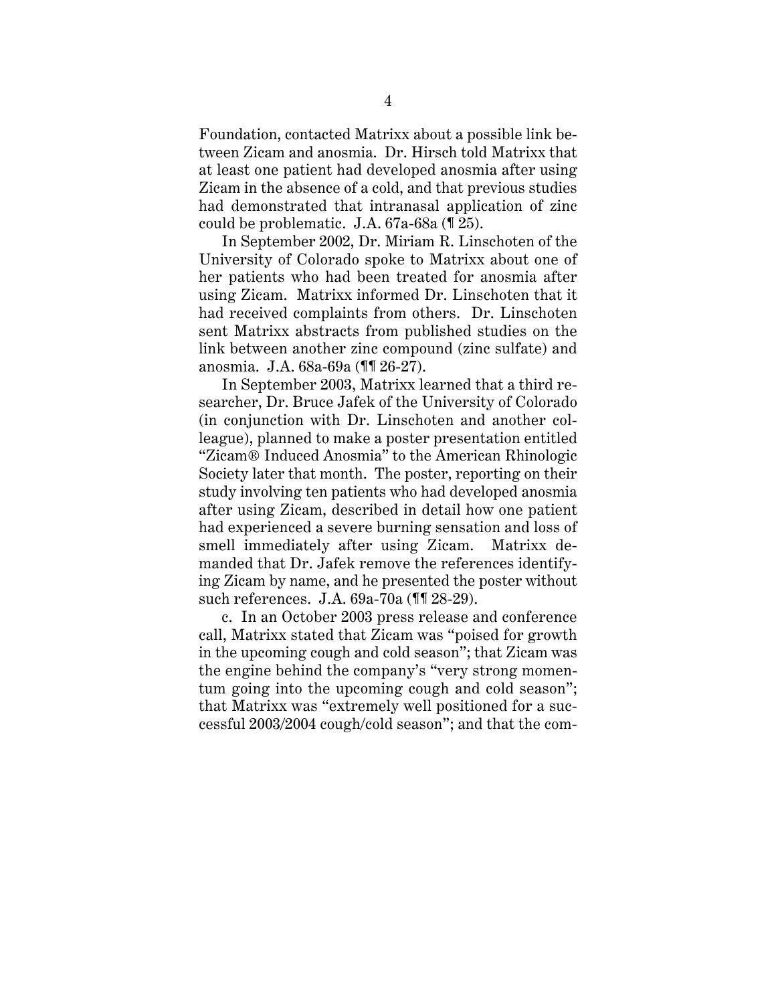Foundation, contacted Matrixx about a possible link between Zicam and anosmia. Dr. Hirsch told Matrixx that at least one patient had developed anosmia after using Zicam in the absence of a cold, and that previous studies had demonstrated that intranasal application of zinc could be problematic. J.A. 67a-68a (¶ 25).

In September 2002, Dr. Miriam R. Linschoten of the University of Colorado spoke to Matrixx about one of her patients who had been treated for anosmia after using Zicam. Matrixx informed Dr. Linschoten that it had received complaints from others. Dr. Linschoten sent Matrixx abstracts from published studies on the link between another zinc compound (zinc sulfate) and anosmia. J.A. 68a-69a (¶¶ 26-27).

In September 2003, Matrixx learned that a third researcher, Dr. Bruce Jafek of the University of Colorado (in conjunction with Dr. Linschoten and another colleague), planned to make a poster presentation entitled "Zicam® Induced Anosmia" to the American Rhinologic Society later that month. The poster, reporting on their study involving ten patients who had developed anosmia after using Zicam, described in detail how one patient had experienced a severe burning sensation and loss of smell immediately after using Zicam. Matrixx demanded that Dr. Jafek remove the references identifying Zicam by name, and he presented the poster without such references. J.A. 69a-70a (¶¶ 28-29).

c. In an October 2003 press release and conference call, Matrixx stated that Zicam was "poised for growth in the upcoming cough and cold season"; that Zicam was the engine behind the company's "very strong momentum going into the upcoming cough and cold season"; that Matrixx was "extremely well positioned for a successful 2003/2004 cough/cold season"; and that the com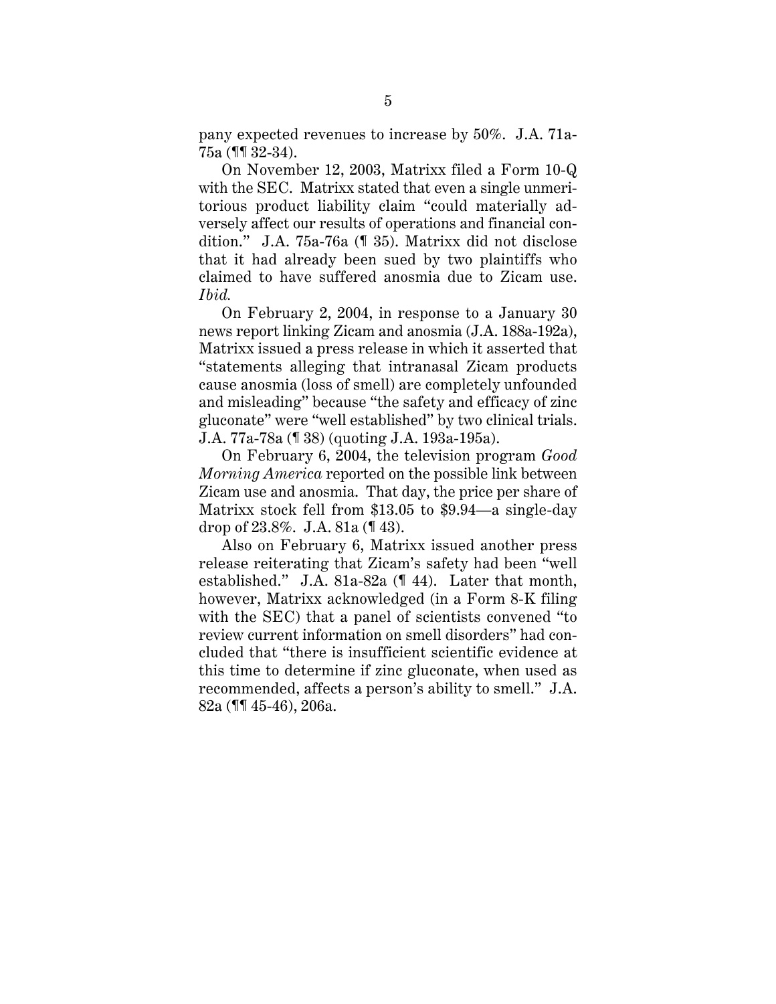pany expected revenues to increase by 50%. J.A. 71a-75a (¶¶ 32-34).

On November 12, 2003, Matrixx filed a Form 10-Q with the SEC. Matrixx stated that even a single unmeritorious product liability claim "could materially adversely affect our results of operations and financial condition." J.A. 75a-76a (¶ 35). Matrixx did not disclose that it had already been sued by two plaintiffs who claimed to have suffered anosmia due to Zicam use. *Ibid.*

On February 2, 2004, in response to a January 30 news report linking Zicam and anosmia (J.A. 188a-192a), Matrixx issued a press release in which it asserted that "statements alleging that intranasal Zicam products cause anosmia (loss of smell) are completely unfounded and misleading" because "the safety and efficacy of zinc gluconate" were "well established" by two clinical trials. J.A. 77a-78a (¶ 38) (quoting J.A. 193a-195a).

On February 6, 2004, the television program *Good Morning America* reported on the possible link between Zicam use and anosmia. That day, the price per share of Matrixx stock fell from \$13.05 to \$9.94—a single-day drop of 23.8%. J.A. 81a (¶ 43).

Also on February 6, Matrixx issued another press release reiterating that Zicam's safety had been "well established." J.A. 81a-82a (¶ 44). Later that month, however, Matrixx acknowledged (in a Form 8-K filing with the SEC) that a panel of scientists convened "to review current information on smell disorders" had concluded that "there is insufficient scientific evidence at this time to determine if zinc gluconate, when used as recommended, affects a person's ability to smell." J.A. 82a (¶¶ 45-46), 206a.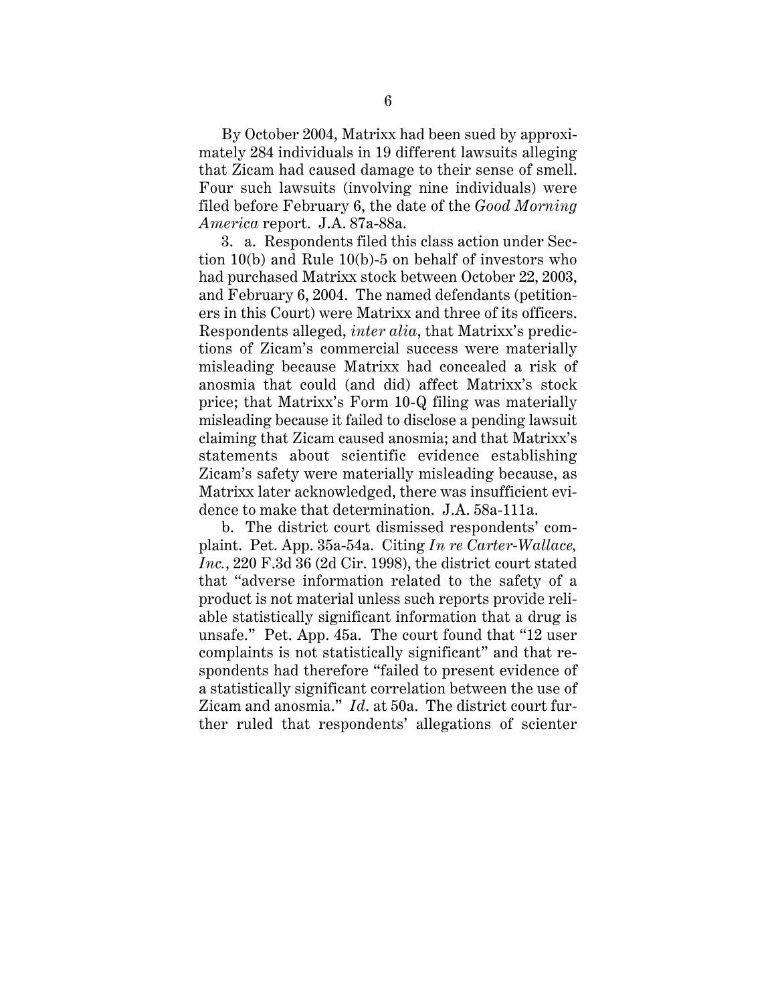By October 2004, Matrixx had been sued by approximately 284 individuals in 19 different lawsuits alleging that Zicam had caused damage to their sense of smell. Four such lawsuits (involving nine individuals) were filed before February 6, the date of the *Good Morning America* report. J.A. 87a-88a.

3. a. Respondents filed this class action under Section 10(b) and Rule 10(b)-5 on behalf of investors who had purchased Matrixx stock between October 22, 2003, and February 6, 2004. The named defendants (petitioners in this Court) were Matrixx and three of its officers. Respondents alleged, *inter alia*, that Matrixx's predictions of Zicam's commercial success were materially misleading because Matrixx had concealed a risk of anosmia that could (and did) affect Matrixx's stock price; that Matrixx's Form 10-Q filing was materially misleading because it failed to disclose a pending lawsuit claiming that Zicam caused anosmia; and that Matrixx's statements about scientific evidence establishing Zicam's safety were materially misleading because, as Matrixx later acknowledged, there was insufficient evidence to make that determination. J.A. 58a-111a.

b. The district court dismissed respondents' complaint. Pet. App. 35a-54a. Citing *In re Carter-Wallace, Inc.*, 220 F.3d 36 (2d Cir. 1998), the district court stated that "adverse information related to the safety of a product is not material unless such reports provide reliable statistically significant information that a drug is unsafe." Pet. App. 45a. The court found that "12 user complaints is not statistically significant" and that respondents had therefore "failed to present evidence of a statistically significant correlation between the use of Zicam and anosmia." *Id*. at 50a. The district court further ruled that respondents' allegations of scienter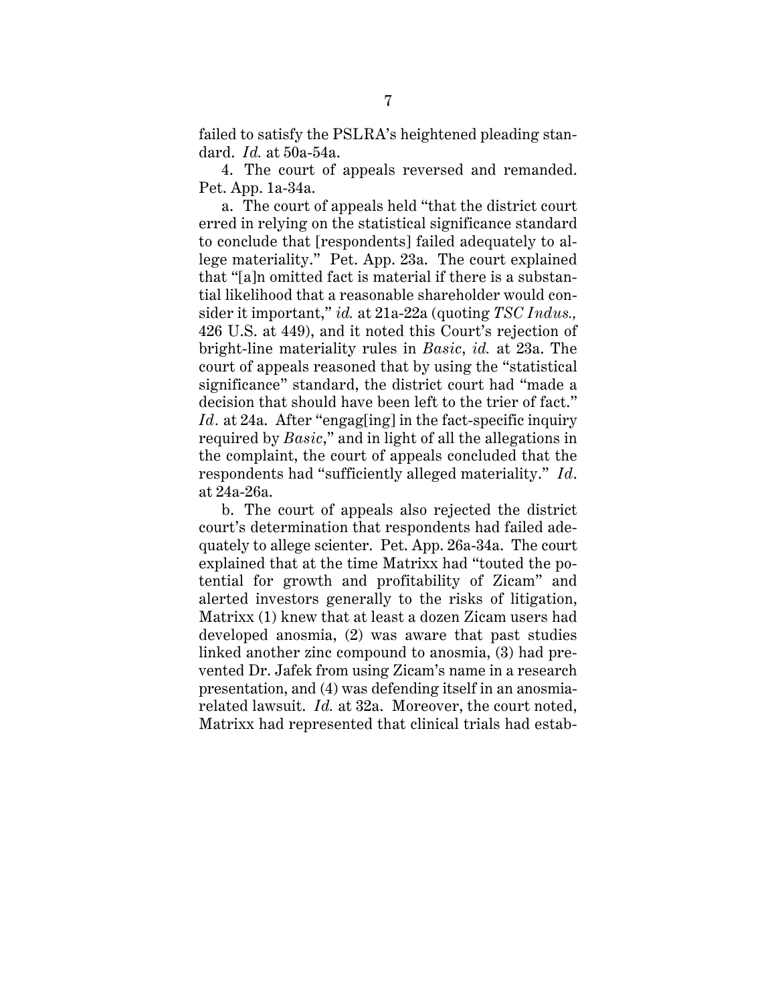failed to satisfy the PSLRA's heightened pleading standard. *Id.* at 50a-54a.

4. The court of appeals reversed and remanded. Pet. App. 1a-34a.

a. The court of appeals held "that the district court erred in relying on the statistical significance standard to conclude that [respondents] failed adequately to allege materiality." Pet. App. 23a. The court explained that "[a]n omitted fact is material if there is a substantial likelihood that a reasonable shareholder would consider it important," *id.* at 21a-22a (quoting *TSC Indus.,* 426 U.S. at 449), and it noted this Court's rejection of bright-line materiality rules in *Basic*, *id.* at 23a. The court of appeals reasoned that by using the "statistical significance" standard, the district court had "made a decision that should have been left to the trier of fact." *Id.* at 24a. After "engag[ing] in the fact-specific inquiry required by *Basic*," and in light of all the allegations in the complaint, the court of appeals concluded that the respondents had "sufficiently alleged materiality." *Id*. at 24a-26a.

b. The court of appeals also rejected the district court's determination that respondents had failed adequately to allege scienter. Pet. App. 26a-34a. The court explained that at the time Matrixx had "touted the potential for growth and profitability of Zicam" and alerted investors generally to the risks of litigation, Matrixx (1) knew that at least a dozen Zicam users had developed anosmia, (2) was aware that past studies linked another zinc compound to anosmia, (3) had prevented Dr. Jafek from using Zicam's name in a research presentation, and (4) was defending itself in an anosmiarelated lawsuit. *Id.* at 32a. Moreover, the court noted, Matrixx had represented that clinical trials had estab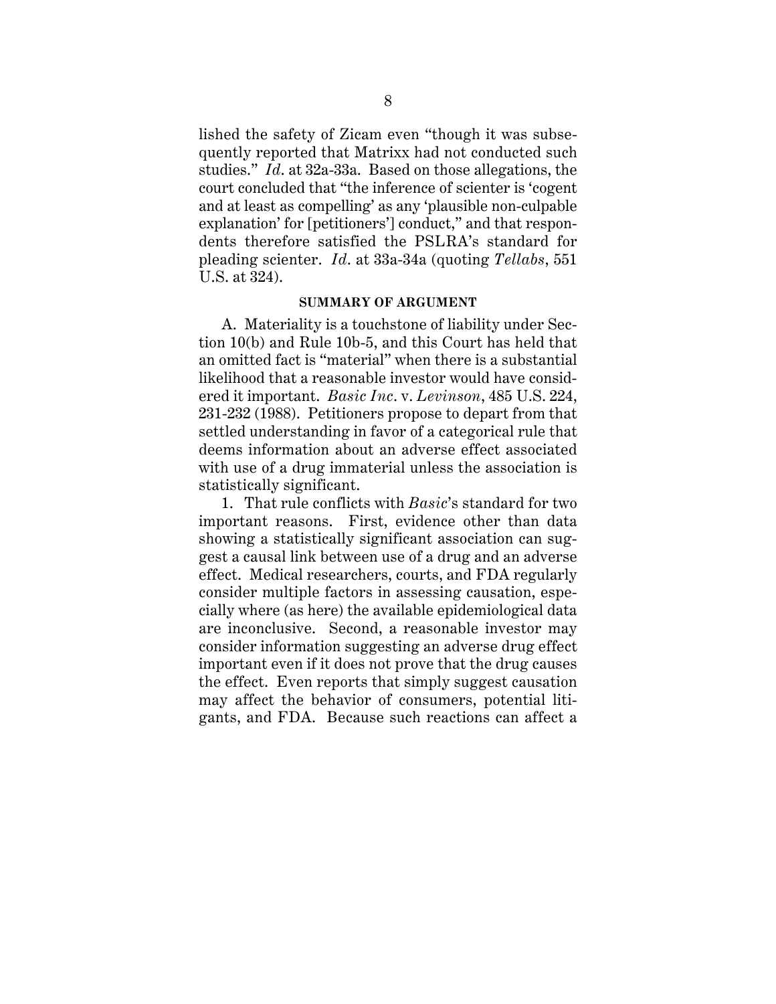lished the safety of Zicam even "though it was subsequently reported that Matrixx had not conducted such studies." *Id*. at 32a-33a. Based on those allegations, the court concluded that "the inference of scienter is 'cogent and at least as compelling' as any 'plausible non-culpable explanation' for [petitioners'] conduct," and that respondents therefore satisfied the PSLRA's standard for pleading scienter. *Id*. at 33a-34a (quoting *Tellabs*, 551 U.S. at 324).

#### **SUMMARY OF ARGUMENT**

A. Materiality is a touchstone of liability under Section 10(b) and Rule 10b-5, and this Court has held that an omitted fact is "material" when there is a substantial likelihood that a reasonable investor would have considered it important. *Basic Inc*. v. *Levinson*, 485 U.S. 224, 231-232 (1988). Petitioners propose to depart from that settled understanding in favor of a categorical rule that deems information about an adverse effect associated with use of a drug immaterial unless the association is statistically significant.

1. That rule conflicts with *Basic*'s standard for two important reasons. First, evidence other than data showing a statistically significant association can suggest a causal link between use of a drug and an adverse effect. Medical researchers, courts, and FDA regularly consider multiple factors in assessing causation, especially where (as here) the available epidemiological data are inconclusive. Second, a reasonable investor may consider information suggesting an adverse drug effect important even if it does not prove that the drug causes the effect. Even reports that simply suggest causation may affect the behavior of consumers, potential litigants, and FDA. Because such reactions can affect a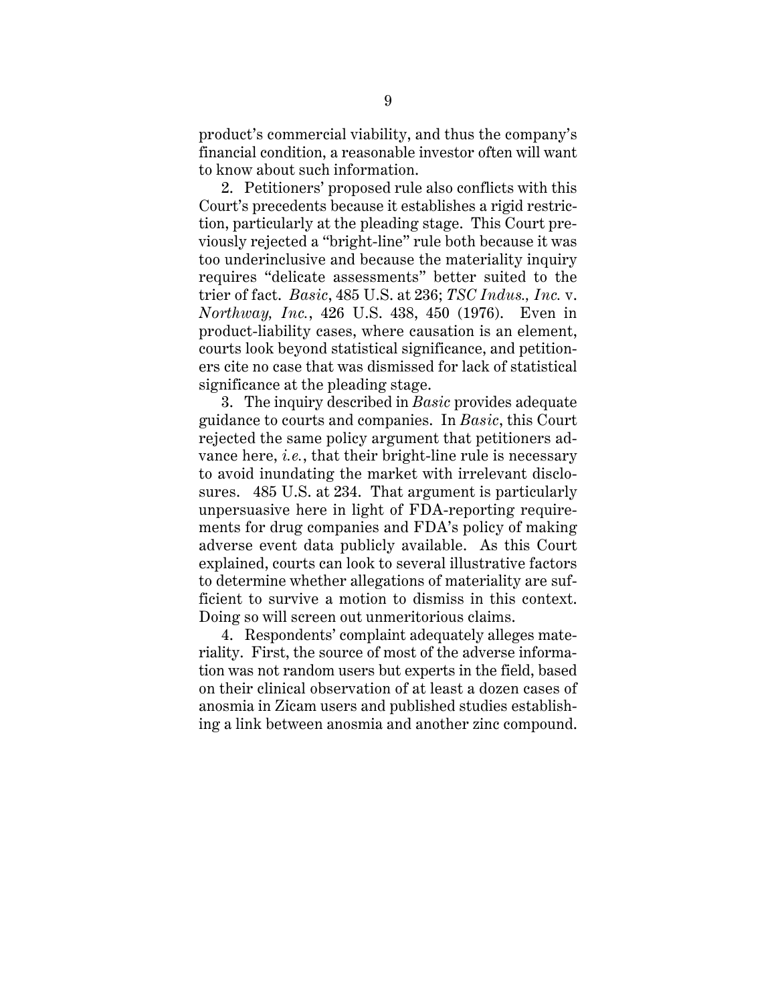product's commercial viability, and thus the company's financial condition, a reasonable investor often will want to know about such information.

2. Petitioners' proposed rule also conflicts with this Court's precedents because it establishes a rigid restriction, particularly at the pleading stage. This Court previously rejected a "bright-line" rule both because it was too underinclusive and because the materiality inquiry requires "delicate assessments" better suited to the trier of fact. *Basic*, 485 U.S. at 236; *TSC Indus., Inc.* v. *Northway, Inc.*, 426 U.S. 438, 450 (1976). Even in product-liability cases, where causation is an element, courts look beyond statistical significance, and petitioners cite no case that was dismissed for lack of statistical significance at the pleading stage.

3. The inquiry described in *Basic* provides adequate guidance to courts and companies. In *Basic*, this Court rejected the same policy argument that petitioners advance here, *i.e.*, that their bright-line rule is necessary to avoid inundating the market with irrelevant disclosures. 485 U.S. at 234. That argument is particularly unpersuasive here in light of FDA-reporting requirements for drug companies and FDA's policy of making adverse event data publicly available. As this Court explained, courts can look to several illustrative factors to determine whether allegations of materiality are sufficient to survive a motion to dismiss in this context. Doing so will screen out unmeritorious claims.

4. Respondents' complaint adequately alleges materiality. First, the source of most of the adverse information was not random users but experts in the field, based on their clinical observation of at least a dozen cases of anosmia in Zicam users and published studies establishing a link between anosmia and another zinc compound.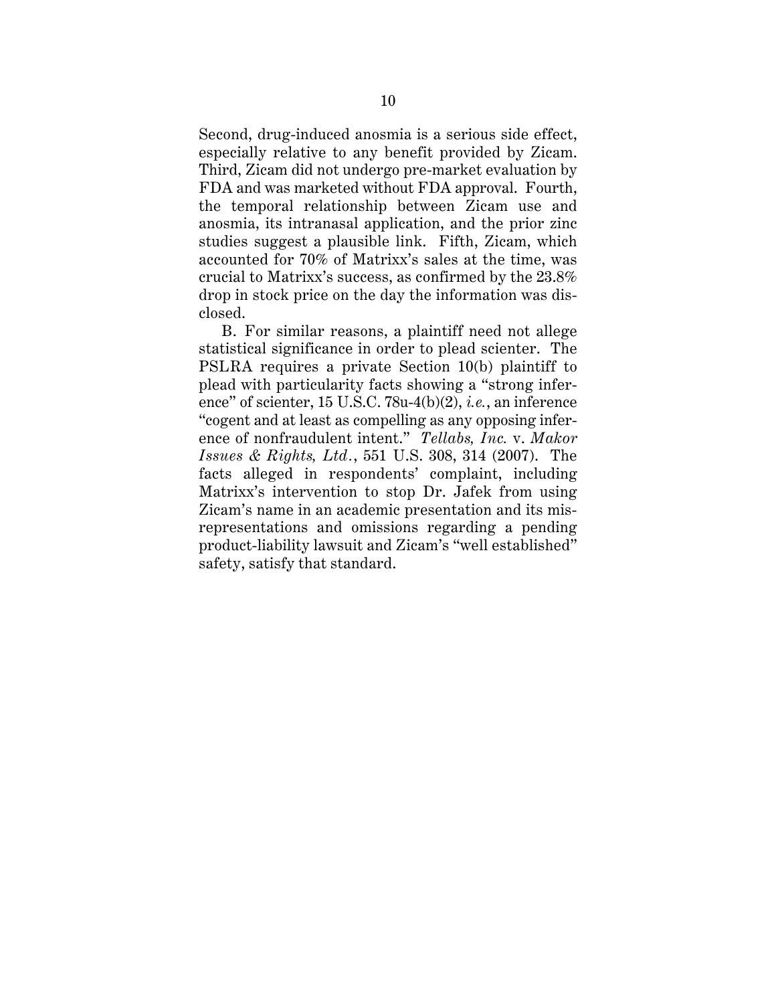Second, drug-induced anosmia is a serious side effect, especially relative to any benefit provided by Zicam. Third, Zicam did not undergo pre-market evaluation by FDA and was marketed without FDA approval. Fourth, the temporal relationship between Zicam use and anosmia, its intranasal application, and the prior zinc studies suggest a plausible link. Fifth, Zicam, which accounted for 70% of Matrixx's sales at the time, was crucial to Matrixx's success, as confirmed by the 23.8% drop in stock price on the day the information was disclosed.

B. For similar reasons, a plaintiff need not allege statistical significance in order to plead scienter. The PSLRA requires a private Section 10(b) plaintiff to plead with particularity facts showing a "strong inference" of scienter, 15 U.S.C. 78u-4(b)(2), *i.e.*, an inference "cogent and at least as compelling as any opposing inference of nonfraudulent intent." *Tellabs, Inc.* v. *Makor Issues & Rights, Ltd.*, 551 U.S. 308, 314 (2007). The facts alleged in respondents' complaint, including Matrixx's intervention to stop Dr. Jafek from using Zicam's name in an academic presentation and its misrepresentations and omissions regarding a pending product-liability lawsuit and Zicam's "well established" safety, satisfy that standard.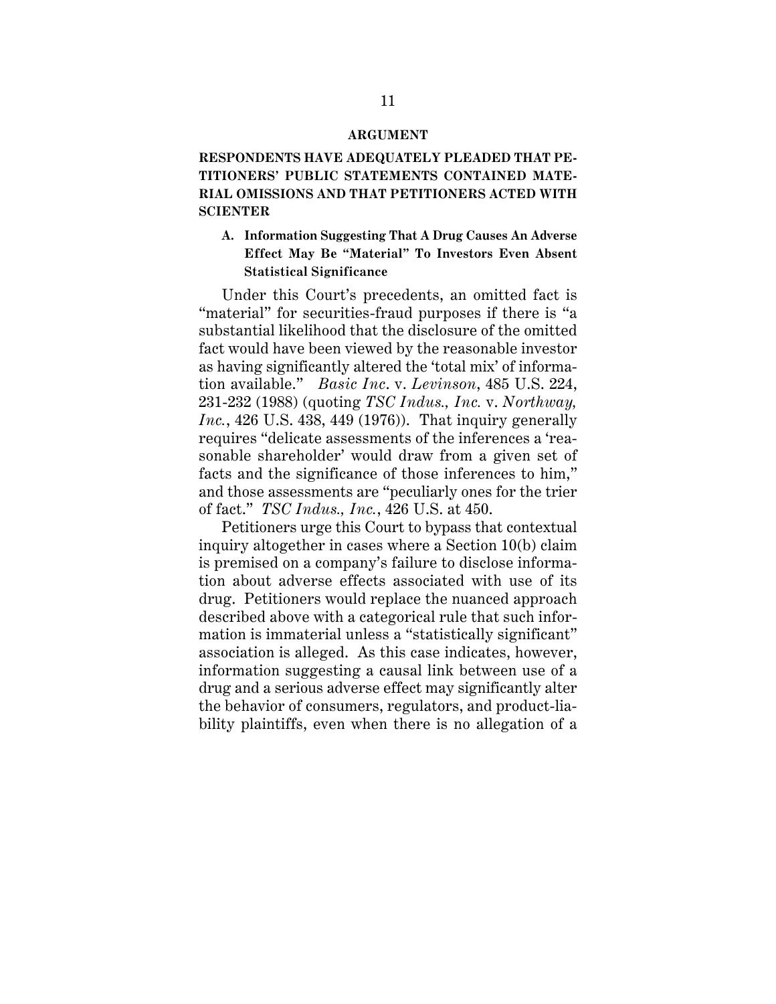### **ARGUMENT**

# **RESPONDENTS HAVE ADEQUATELY PLEADED THAT PE-TITIONERS' PUBLIC STATEMENTS CONTAINED MATE-RIAL OMISSIONS AND THAT PETITIONERS ACTED WITH SCIENTER**

## **A. Information Suggesting That A Drug Causes An Adverse Effect May Be "Material" To Investors Even Absent Statistical Significance**

Under this Court's precedents, an omitted fact is "material" for securities-fraud purposes if there is "a substantial likelihood that the disclosure of the omitted fact would have been viewed by the reasonable investor as having significantly altered the 'total mix' of information available." *Basic Inc*. v. *Levinson*, 485 U.S. 224, 231-232 (1988) (quoting *TSC Indus., Inc.* v. *Northway, Inc.*, 426 U.S. 438, 449 (1976)). That inquiry generally requires "delicate assessments of the inferences a 'reasonable shareholder' would draw from a given set of facts and the significance of those inferences to him," and those assessments are "peculiarly ones for the trier of fact." *TSC Indus., Inc.*, 426 U.S. at 450.

Petitioners urge this Court to bypass that contextual inquiry altogether in cases where a Section 10(b) claim is premised on a company's failure to disclose information about adverse effects associated with use of its drug. Petitioners would replace the nuanced approach described above with a categorical rule that such information is immaterial unless a "statistically significant" association is alleged. As this case indicates, however, information suggesting a causal link between use of a drug and a serious adverse effect may significantly alter the behavior of consumers, regulators, and product-liability plaintiffs, even when there is no allegation of a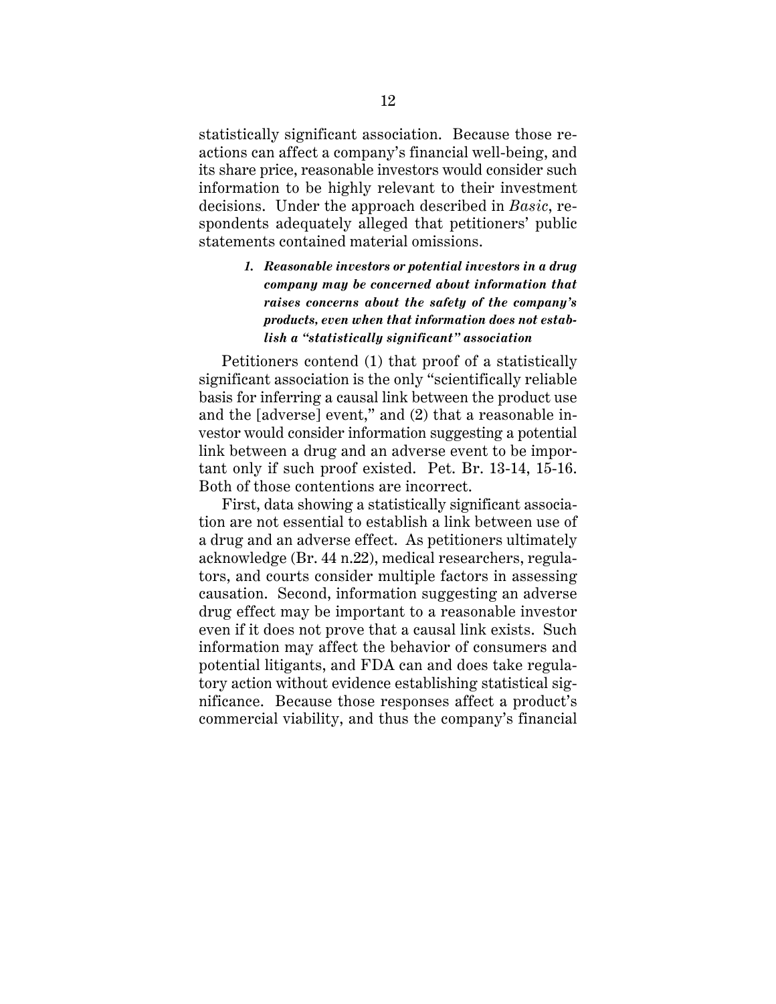statistically significant association. Because those reactions can affect a company's financial well-being, and its share price, reasonable investors would consider such information to be highly relevant to their investment decisions. Under the approach described in *Basic*, respondents adequately alleged that petitioners' public statements contained material omissions.

# *1. Reasonable investors or potential investors in a drug company may be concerned about information that raises concerns about the safety of the company's products, even when that information does not establish a "statistically significant" association*

Petitioners contend (1) that proof of a statistically significant association is the only "scientifically reliable basis for inferring a causal link between the product use and the [adverse] event," and (2) that a reasonable investor would consider information suggesting a potential link between a drug and an adverse event to be important only if such proof existed. Pet. Br. 13-14, 15-16. Both of those contentions are incorrect.

First, data showing a statistically significant association are not essential to establish a link between use of a drug and an adverse effect. As petitioners ultimately acknowledge (Br. 44 n.22), medical researchers, regulators, and courts consider multiple factors in assessing causation. Second, information suggesting an adverse drug effect may be important to a reasonable investor even if it does not prove that a causal link exists. Such information may affect the behavior of consumers and potential litigants, and FDA can and does take regulatory action without evidence establishing statistical significance. Because those responses affect a product's commercial viability, and thus the company's financial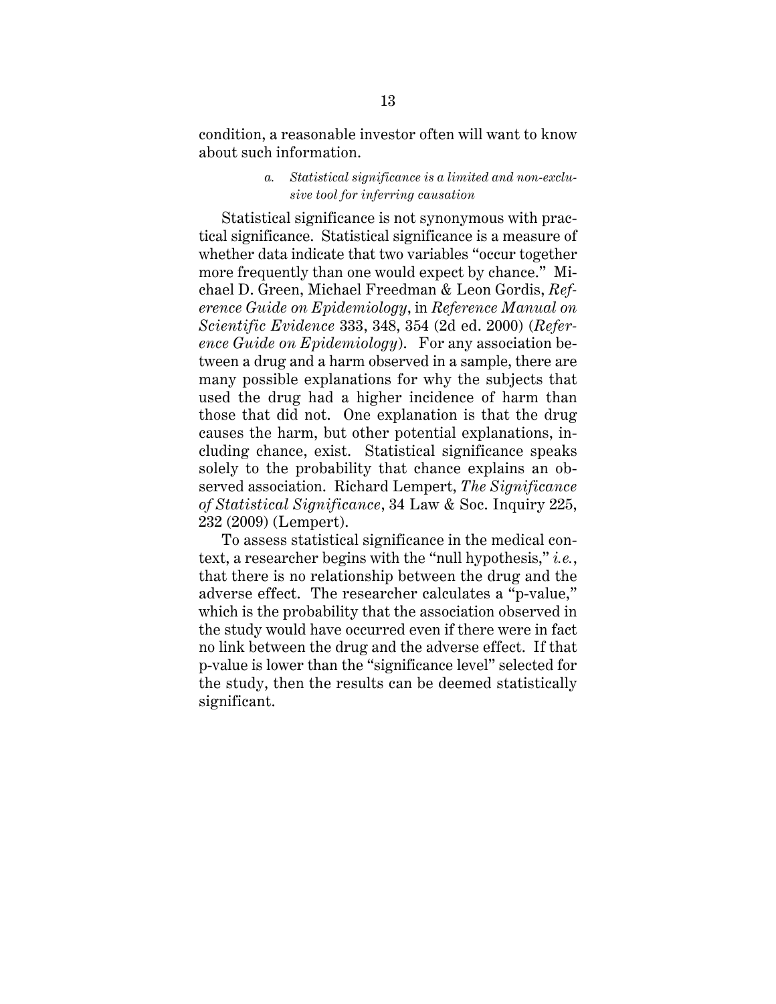condition, a reasonable investor often will want to know about such information.

### *a. Statistical significance is a limited and non-exclusive tool for inferring causation*

Statistical significance is not synonymous with practical significance. Statistical significance is a measure of whether data indicate that two variables "occur together more frequently than one would expect by chance." Michael D. Green, Michael Freedman & Leon Gordis, *Reference Guide on Epidemiology*, in *Reference Manual on Scientific Evidence* 333, 348, 354 (2d ed. 2000) (*Reference Guide on Epidemiology*). For any association between a drug and a harm observed in a sample, there are many possible explanations for why the subjects that used the drug had a higher incidence of harm than those that did not. One explanation is that the drug causes the harm, but other potential explanations, including chance, exist. Statistical significance speaks solely to the probability that chance explains an observed association. Richard Lempert, *The Significance of Statistical Significance*, 34 Law & Soc. Inquiry 225, 232 (2009) (Lempert).

To assess statistical significance in the medical context, a researcher begins with the "null hypothesis," *i.e.*, that there is no relationship between the drug and the adverse effect. The researcher calculates a "p-value," which is the probability that the association observed in the study would have occurred even if there were in fact no link between the drug and the adverse effect. If that p-value is lower than the "significance level" selected for the study, then the results can be deemed statistically significant.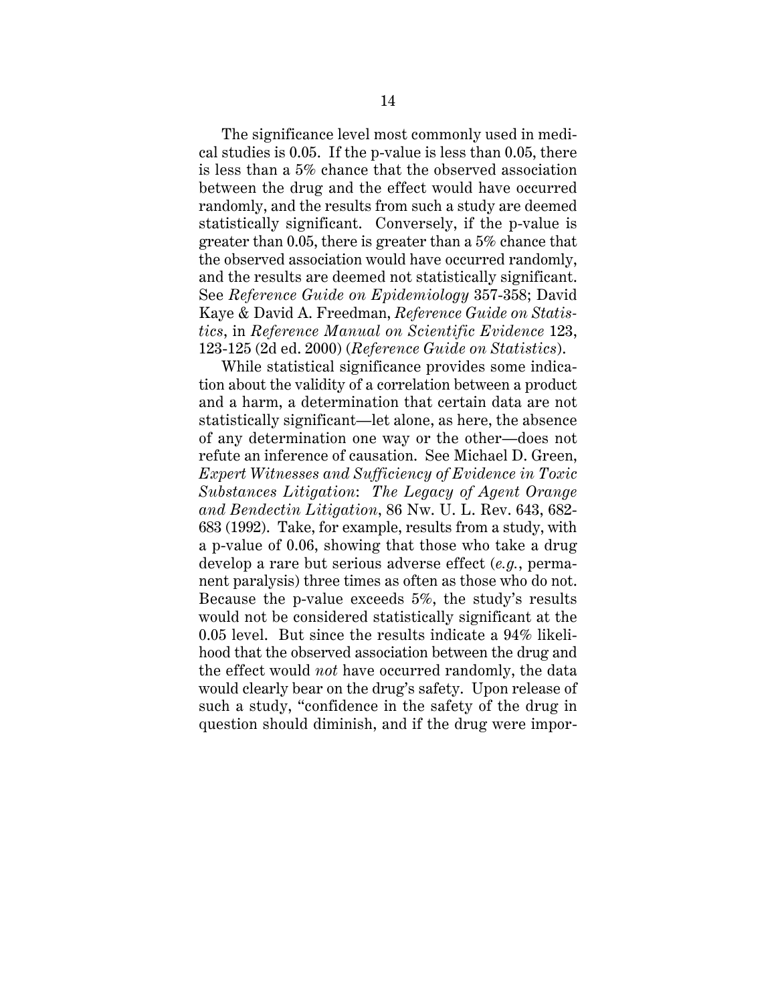The significance level most commonly used in medical studies is 0.05. If the p-value is less than 0.05, there is less than a 5% chance that the observed association between the drug and the effect would have occurred randomly, and the results from such a study are deemed statistically significant. Conversely, if the p-value is greater than 0.05, there is greater than a 5% chance that the observed association would have occurred randomly, and the results are deemed not statistically significant. See *Reference Guide on Epidemiology* 357-358; David Kaye & David A. Freedman, *Reference Guide on Statistics*, in *Reference Manual on Scientific Evidence* 123, 123-125 (2d ed. 2000) (*Reference Guide on Statistics*).

While statistical significance provides some indication about the validity of a correlation between a product and a harm, a determination that certain data are not statistically significant—let alone, as here, the absence of any determination one way or the other—does not refute an inference of causation. See Michael D. Green, *Expert Witnesses and Sufficiency of Evidence in Toxic Substances Litigation*: *The Legacy of Agent Orange and Bendectin Litigation*, 86 Nw. U. L. Rev. 643, 682- 683 (1992). Take, for example, results from a study, with a p-value of 0.06, showing that those who take a drug develop a rare but serious adverse effect (*e.g.*, permanent paralysis) three times as often as those who do not. Because the p-value exceeds 5%, the study's results would not be considered statistically significant at the 0.05 level. But since the results indicate a 94% likelihood that the observed association between the drug and the effect would *not* have occurred randomly, the data would clearly bear on the drug's safety. Upon release of such a study, "confidence in the safety of the drug in question should diminish, and if the drug were impor-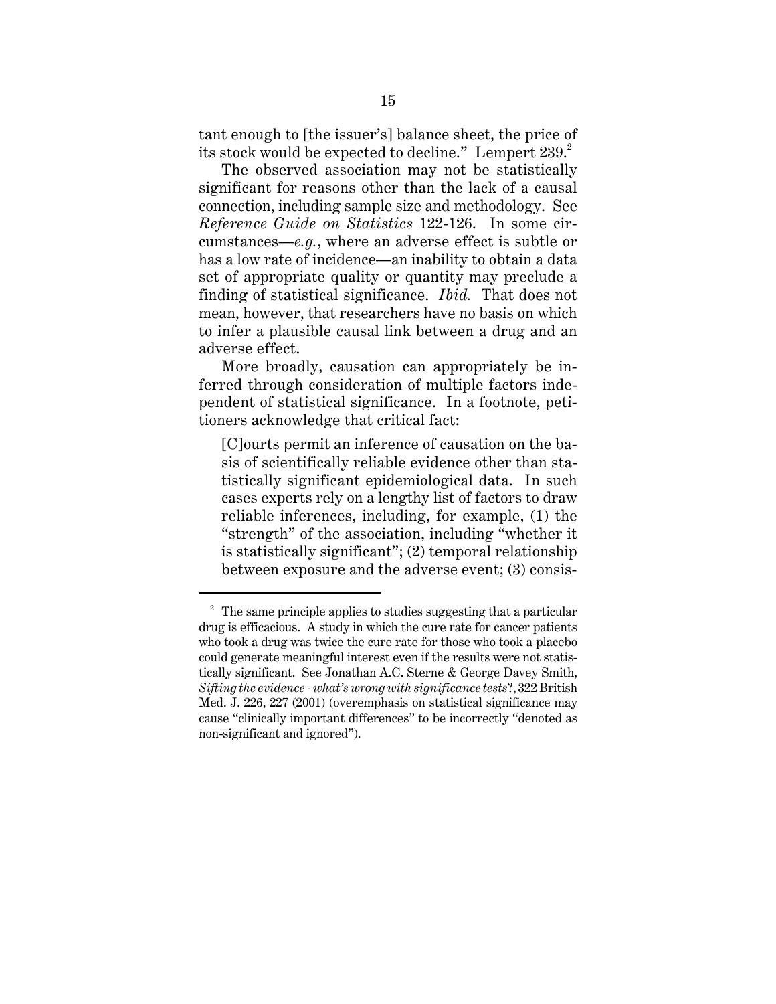tant enough to [the issuer's] balance sheet, the price of its stock would be expected to decline." Lempert 239.<sup>2</sup>

The observed association may not be statistically significant for reasons other than the lack of a causal connection, including sample size and methodology. See *Reference Guide on Statistics* 122-126. In some circumstances—*e.g.*, where an adverse effect is subtle or has a low rate of incidence—an inability to obtain a data set of appropriate quality or quantity may preclude a finding of statistical significance. *Ibid.* That does not mean, however, that researchers have no basis on which to infer a plausible causal link between a drug and an adverse effect.

More broadly, causation can appropriately be inferred through consideration of multiple factors independent of statistical significance. In a footnote, petitioners acknowledge that critical fact:

[C]ourts permit an inference of causation on the basis of scientifically reliable evidence other than statistically significant epidemiological data. In such cases experts rely on a lengthy list of factors to draw reliable inferences, including, for example, (1) the "strength" of the association, including "whether it is statistically significant"; (2) temporal relationship between exposure and the adverse event; (3) consis-

 $2$  The same principle applies to studies suggesting that a particular drug is efficacious. A study in which the cure rate for cancer patients who took a drug was twice the cure rate for those who took a placebo could generate meaningful interest even if the results were not statistically significant. See Jonathan A.C. Sterne & George Davey Smith, *Sifting the evidence - what's wrong with significance tests*?, 322 British Med. J. 226, 227 (2001) (overemphasis on statistical significance may cause "clinically important differences" to be incorrectly "denoted as non-significant and ignored").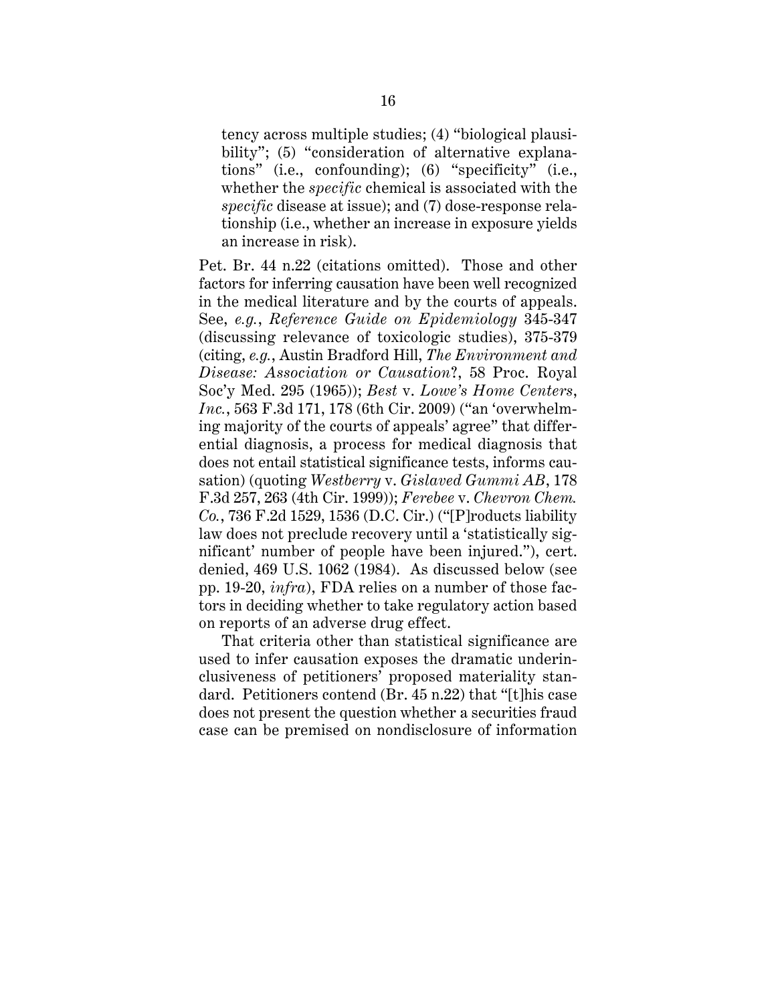tency across multiple studies; (4) "biological plausibility"; (5) "consideration of alternative explanations" (i.e., confounding); (6) "specificity" (i.e., whether the *specific* chemical is associated with the *specific* disease at issue); and (7) dose-response relationship (i.e., whether an increase in exposure yields an increase in risk).

Pet. Br. 44 n.22 (citations omitted). Those and other factors for inferring causation have been well recognized in the medical literature and by the courts of appeals. See, *e.g.*, *Reference Guide on Epidemiology* 345-347 (discussing relevance of toxicologic studies), 375-379 (citing, *e.g.*, Austin Bradford Hill, *The Environment and Disease: Association or Causation*?, 58 Proc. Royal Soc'y Med. 295 (1965)); *Best* v. *Lowe's Home Centers*, *Inc.*, 563 F.3d 171, 178 (6th Cir. 2009) ("an 'overwhelming majority of the courts of appeals' agree" that differential diagnosis, a process for medical diagnosis that does not entail statistical significance tests, informs causation) (quoting *Westberry* v. *Gislaved Gummi AB*, 178 F.3d 257, 263 (4th Cir. 1999)); *Ferebee* v. *Chevron Chem. Co.*, 736 F.2d 1529, 1536 (D.C. Cir.) ("[P]roducts liability law does not preclude recovery until a 'statistically significant' number of people have been injured."), cert. denied, 469 U.S. 1062 (1984). As discussed below (see pp. 19-20, *infra*), FDA relies on a number of those factors in deciding whether to take regulatory action based on reports of an adverse drug effect.

That criteria other than statistical significance are used to infer causation exposes the dramatic underinclusiveness of petitioners' proposed materiality standard. Petitioners contend (Br. 45 n.22) that "[t]his case does not present the question whether a securities fraud case can be premised on nondisclosure of information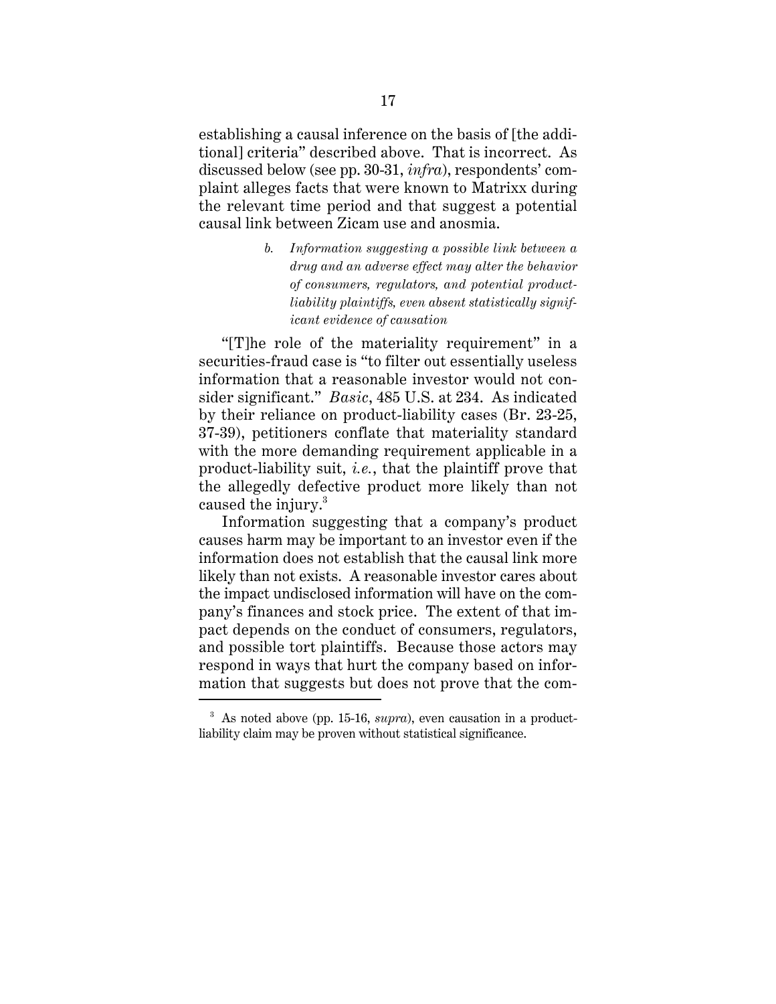establishing a causal inference on the basis of [the additional] criteria" described above. That is incorrect. As discussed below (see pp. 30-31, *infra*), respondents' complaint alleges facts that were known to Matrixx during the relevant time period and that suggest a potential causal link between Zicam use and anosmia.

> *b. Information suggesting a possible link between a drug and an adverse effect may alter the behavior of consumers, regulators, and potential productliability plaintiffs, even absent statistically significant evidence of causation*

"[T]he role of the materiality requirement" in a securities-fraud case is "to filter out essentially useless information that a reasonable investor would not consider significant." *Basic*, 485 U.S. at 234. As indicated by their reliance on product-liability cases (Br. 23-25, 37-39), petitioners conflate that materiality standard with the more demanding requirement applicable in a product-liability suit, *i.e.*, that the plaintiff prove that the allegedly defective product more likely than not caused the injury.<sup>3</sup>

Information suggesting that a company's product causes harm may be important to an investor even if the information does not establish that the causal link more likely than not exists. A reasonable investor cares about the impact undisclosed information will have on the company's finances and stock price. The extent of that impact depends on the conduct of consumers, regulators, and possible tort plaintiffs. Because those actors may respond in ways that hurt the company based on information that suggests but does not prove that the com-

<sup>3</sup> As noted above (pp. 15-16, *supra*), even causation in a productliability claim may be proven without statistical significance.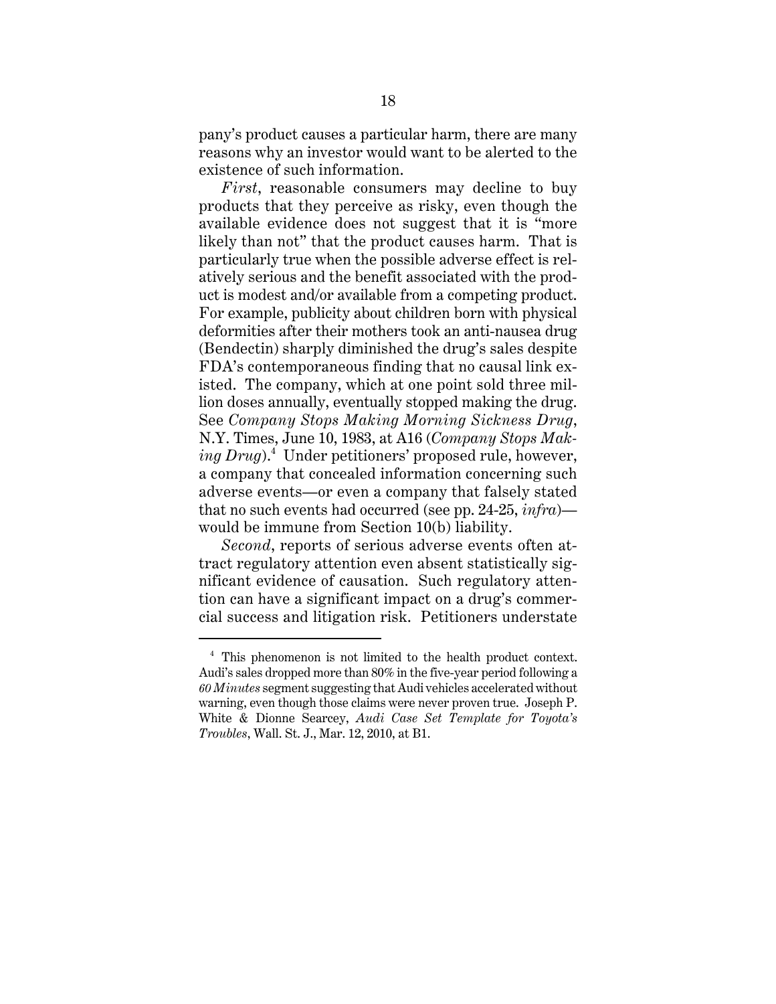pany's product causes a particular harm, there are many reasons why an investor would want to be alerted to the existence of such information.

*First*, reasonable consumers may decline to buy products that they perceive as risky, even though the available evidence does not suggest that it is "more likely than not" that the product causes harm. That is particularly true when the possible adverse effect is relatively serious and the benefit associated with the product is modest and/or available from a competing product. For example, publicity about children born with physical deformities after their mothers took an anti-nausea drug (Bendectin) sharply diminished the drug's sales despite FDA's contemporaneous finding that no causal link existed. The company, which at one point sold three million doses annually, eventually stopped making the drug. See *Company Stops Making Morning Sickness Drug*, N.Y. Times, June 10, 1983, at A16 (*Company Stops Making Drug*).<sup>4</sup> Under petitioners' proposed rule, however, a company that concealed information concerning such adverse events—or even a company that falsely stated that no such events had occurred (see pp. 24-25, *infra*) would be immune from Section 10(b) liability.

*Second*, reports of serious adverse events often attract regulatory attention even absent statistically significant evidence of causation. Such regulatory attention can have a significant impact on a drug's commercial success and litigation risk. Petitioners understate

<sup>4</sup> This phenomenon is not limited to the health product context. Audi's sales dropped more than 80% in the five-year period following a *60 Minutes* segment suggesting that Audi vehicles accelerated without warning, even though those claims were never proven true. Joseph P. White & Dionne Searcey, *Audi Case Set Template for Toyota's Troubles*, Wall. St. J., Mar. 12, 2010, at B1.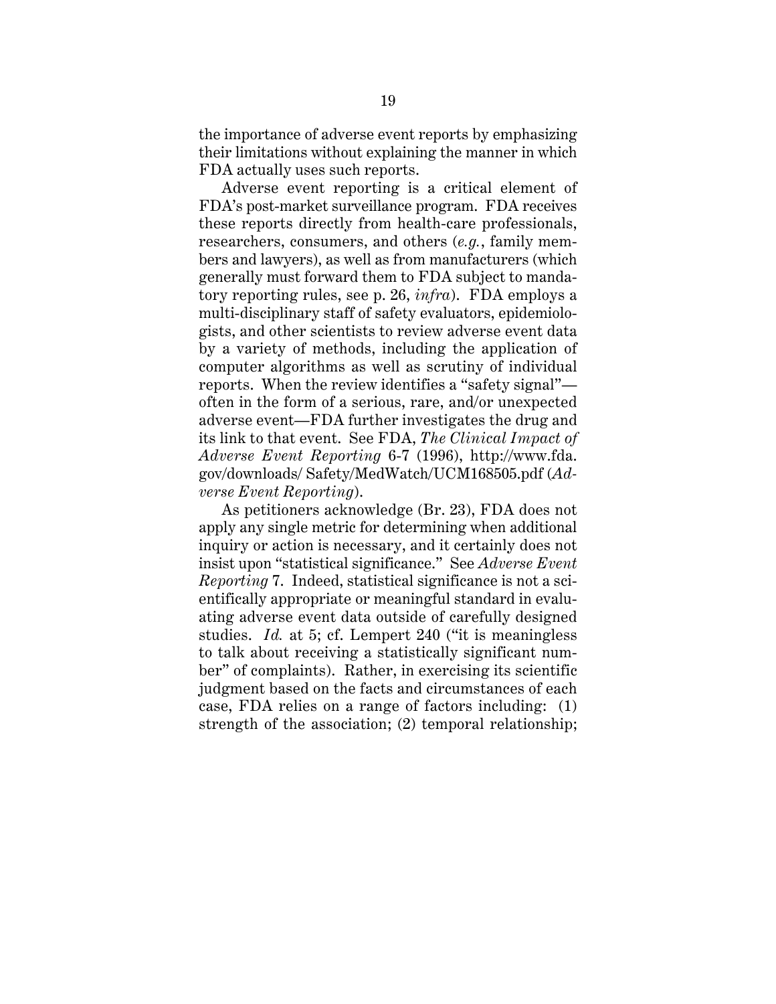the importance of adverse event reports by emphasizing their limitations without explaining the manner in which FDA actually uses such reports.

Adverse event reporting is a critical element of FDA's post-market surveillance program. FDA receives these reports directly from health-care professionals, researchers, consumers, and others (*e.g.*, family members and lawyers), as well as from manufacturers (which generally must forward them to FDA subject to mandatory reporting rules, see p. 26, *infra*). FDA employs a multi-disciplinary staff of safety evaluators, epidemiologists, and other scientists to review adverse event data by a variety of methods, including the application of computer algorithms as well as scrutiny of individual reports. When the review identifies a "safety signal" often in the form of a serious, rare, and/or unexpected adverse event—FDA further investigates the drug and its link to that event. See FDA, *The Clinical Impact of Adverse Event Reporting* 6-7 (1996), http://www.fda. gov/downloads/ Safety/MedWatch/UCM168505.pdf (*Adverse Event Reporting*).

As petitioners acknowledge (Br. 23), FDA does not apply any single metric for determining when additional inquiry or action is necessary, and it certainly does not insist upon "statistical significance." See *Adverse Event Reporting* 7. Indeed, statistical significance is not a scientifically appropriate or meaningful standard in evaluating adverse event data outside of carefully designed studies. *Id.* at 5; cf. Lempert 240 ("it is meaningless to talk about receiving a statistically significant number" of complaints). Rather, in exercising its scientific judgment based on the facts and circumstances of each case, FDA relies on a range of factors including: (1) strength of the association; (2) temporal relationship;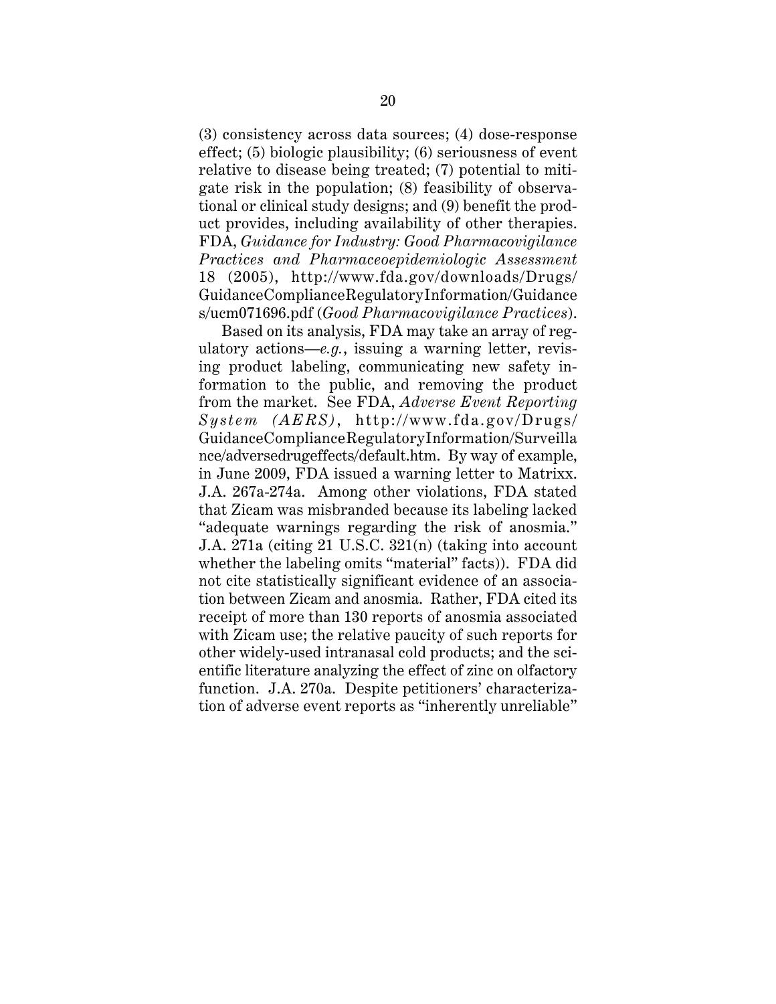(3) consistency across data sources; (4) dose-response effect; (5) biologic plausibility; (6) seriousness of event relative to disease being treated; (7) potential to mitigate risk in the population; (8) feasibility of observational or clinical study designs; and (9) benefit the product provides, including availability of other therapies. FDA, *Guidance for Industry: Good Pharmacovigilance Practices and Pharmaceoepidemiologic Assessment* 18 (2005), http://www.fda.gov/downloads/Drugs/ GuidanceComplianceRegulatoryInformation/Guidance s/ucm071696.pdf (*Good Pharmacovigilance Practices*).

Based on its analysis, FDA may take an array of regulatory actions—*e.g.*, issuing a warning letter, revising product labeling, communicating new safety information to the public, and removing the product from the market. See FDA, *Adverse Event Reporting System (AERS)*, http://www.fda.gov/Drugs/ GuidanceComplianceRegulatoryInformation/Surveilla nce/adversedrugeffects/default.htm. By way of example, in June 2009, FDA issued a warning letter to Matrixx. J.A. 267a-274a. Among other violations, FDA stated that Zicam was misbranded because its labeling lacked "adequate warnings regarding the risk of anosmia." J.A. 271a (citing 21 U.S.C. 321(n) (taking into account whether the labeling omits "material" facts)). FDA did not cite statistically significant evidence of an association between Zicam and anosmia. Rather, FDA cited its receipt of more than 130 reports of anosmia associated with Zicam use; the relative paucity of such reports for other widely-used intranasal cold products; and the scientific literature analyzing the effect of zinc on olfactory function. J.A. 270a. Despite petitioners' characterization of adverse event reports as "inherently unreliable"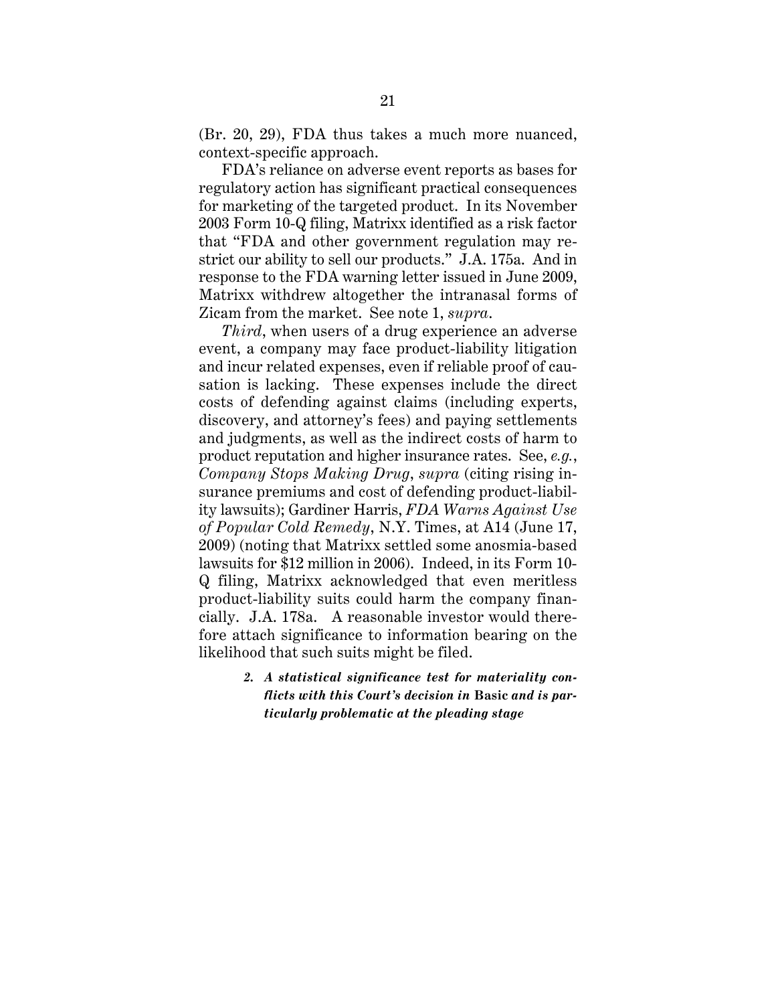(Br. 20, 29), FDA thus takes a much more nuanced, context-specific approach.

FDA's reliance on adverse event reports as bases for regulatory action has significant practical consequences for marketing of the targeted product. In its November 2003 Form 10-Q filing, Matrixx identified as a risk factor that "FDA and other government regulation may restrict our ability to sell our products." J.A. 175a. And in response to the FDA warning letter issued in June 2009, Matrixx withdrew altogether the intranasal forms of Zicam from the market. See note 1, *supra*.

*Third*, when users of a drug experience an adverse event, a company may face product-liability litigation and incur related expenses, even if reliable proof of causation is lacking. These expenses include the direct costs of defending against claims (including experts, discovery, and attorney's fees) and paying settlements and judgments, as well as the indirect costs of harm to product reputation and higher insurance rates. See, *e.g.*, *Company Stops Making Drug*, *supra* (citing rising insurance premiums and cost of defending product-liability lawsuits); Gardiner Harris, *FDA Warns Against Use of Popular Cold Remedy*, N.Y. Times, at A14 (June 17, 2009) (noting that Matrixx settled some anosmia-based lawsuits for \$12 million in 2006). Indeed, in its Form 10- Q filing, Matrixx acknowledged that even meritless product-liability suits could harm the company financially. J.A. 178a. A reasonable investor would therefore attach significance to information bearing on the likelihood that such suits might be filed.

> *2. A statistical significance test for materiality conflicts with this Court's decision in* **Basic** *and is particularly problematic at the pleading stage*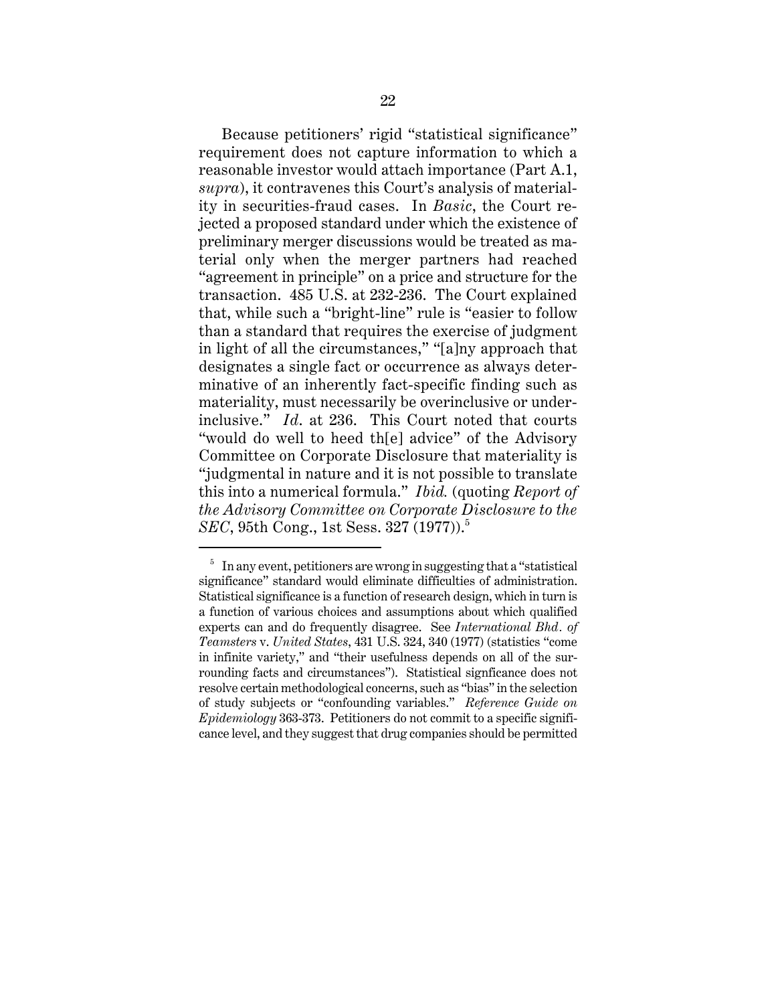Because petitioners' rigid "statistical significance" requirement does not capture information to which a reasonable investor would attach importance (Part A.1, *supra*), it contravenes this Court's analysis of materiality in securities-fraud cases. In *Basic*, the Court rejected a proposed standard under which the existence of preliminary merger discussions would be treated as material only when the merger partners had reached "agreement in principle" on a price and structure for the transaction. 485 U.S. at 232-236. The Court explained that, while such a "bright-line" rule is "easier to follow than a standard that requires the exercise of judgment in light of all the circumstances," "[a]ny approach that designates a single fact or occurrence as always determinative of an inherently fact-specific finding such as materiality, must necessarily be overinclusive or underinclusive." *Id*. at 236. This Court noted that courts "would do well to heed th[e] advice" of the Advisory Committee on Corporate Disclosure that materiality is "judgmental in nature and it is not possible to translate this into a numerical formula." *Ibid.* (quoting *Report of the Advisory Committee on Corporate Disclosure to the SEC*, 95th Cong., 1st Sess. 327 (1977)).<sup>5</sup>

 $5\;$  In any event, petitioners are wrong in suggesting that a "statistical" significance" standard would eliminate difficulties of administration. Statistical significance is a function of research design, which in turn is a function of various choices and assumptions about which qualified experts can and do frequently disagree. See *International Bhd. of Teamsters* v. *United States*, 431 U.S. 324, 340 (1977) (statistics "come in infinite variety," and "their usefulness depends on all of the surrounding facts and circumstances"). Statistical signficance does not resolve certain methodological concerns, such as "bias" in the selection of study subjects or "confounding variables." *Reference Guide on Epidemiology* 363-373. Petitioners do not commit to a specific significance level, and they suggest that drug companies should be permitted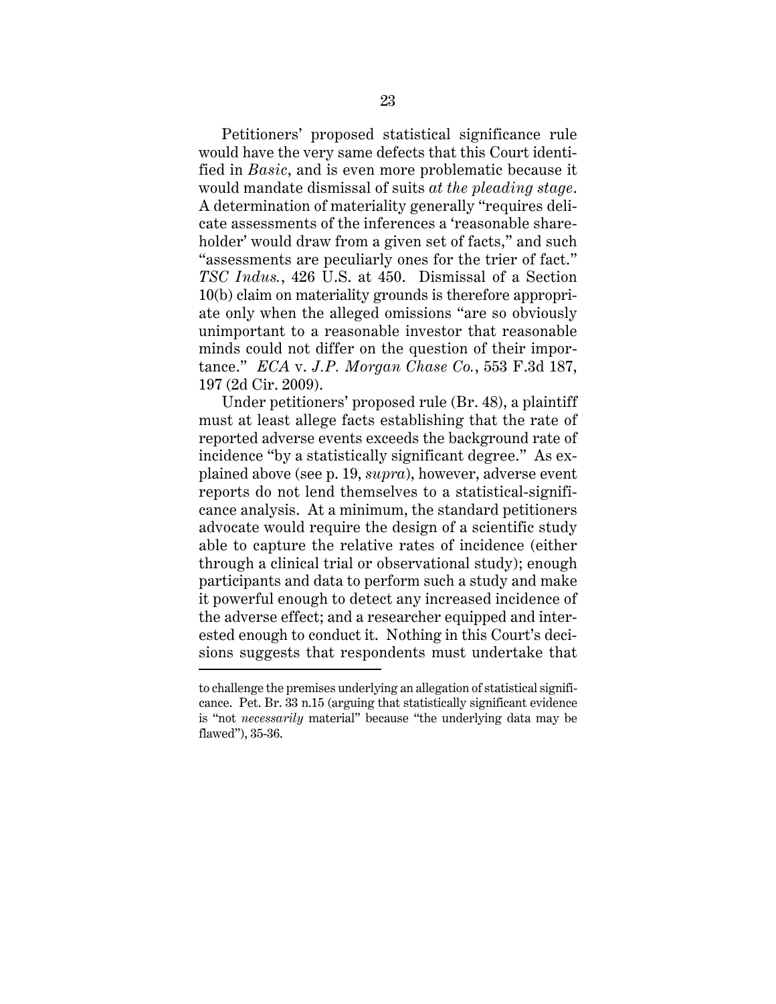Petitioners' proposed statistical significance rule would have the very same defects that this Court identified in *Basic*, and is even more problematic because it would mandate dismissal of suits *at the pleading stage*. A determination of materiality generally "requires delicate assessments of the inferences a 'reasonable shareholder' would draw from a given set of facts," and such "assessments are peculiarly ones for the trier of fact." *TSC Indus.*, 426 U.S. at 450. Dismissal of a Section 10(b) claim on materiality grounds is therefore appropriate only when the alleged omissions "are so obviously unimportant to a reasonable investor that reasonable minds could not differ on the question of their importance." *ECA* v. *J.P. Morgan Chase Co.*, 553 F.3d 187, 197 (2d Cir. 2009).

Under petitioners' proposed rule (Br. 48), a plaintiff must at least allege facts establishing that the rate of reported adverse events exceeds the background rate of incidence "by a statistically significant degree." As explained above (see p. 19, *supra*), however, adverse event reports do not lend themselves to a statistical-significance analysis. At a minimum, the standard petitioners advocate would require the design of a scientific study able to capture the relative rates of incidence (either through a clinical trial or observational study); enough participants and data to perform such a study and make it powerful enough to detect any increased incidence of the adverse effect; and a researcher equipped and interested enough to conduct it. Nothing in this Court's decisions suggests that respondents must undertake that

to challenge the premises underlying an allegation of statistical significance. Pet. Br. 33 n.15 (arguing that statistically significant evidence is "not *necessarily* material" because "the underlying data may be flawed"), 35-36.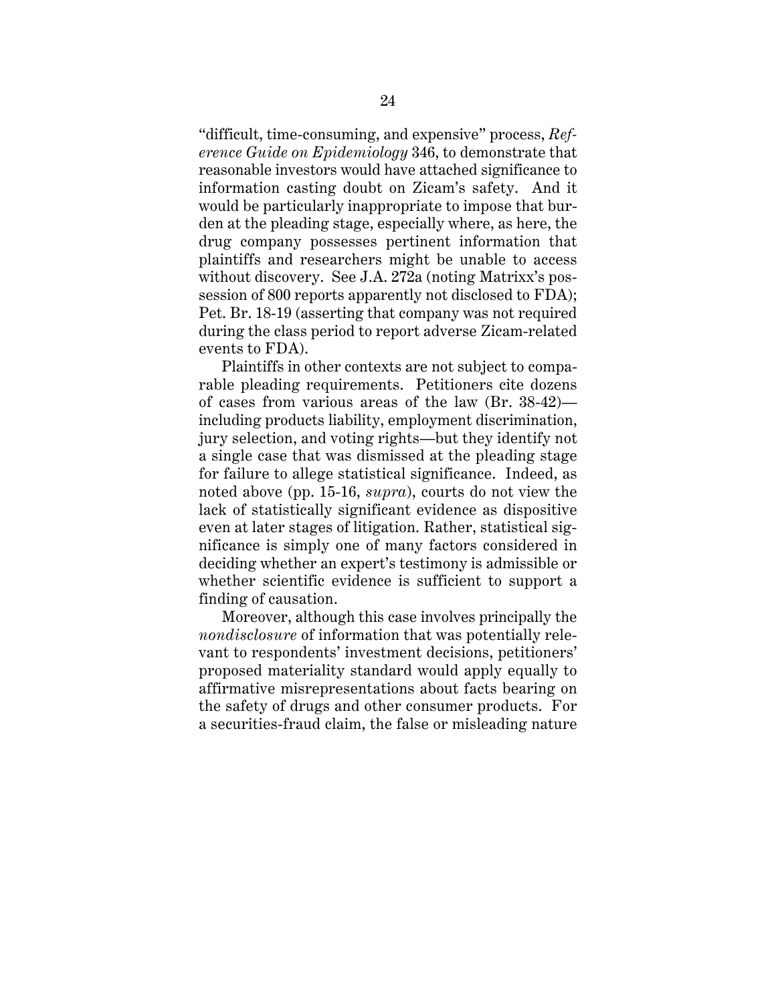"difficult, time-consuming, and expensive" process, *Reference Guide on Epidemiology* 346, to demonstrate that reasonable investors would have attached significance to information casting doubt on Zicam's safety. And it would be particularly inappropriate to impose that burden at the pleading stage, especially where, as here, the drug company possesses pertinent information that plaintiffs and researchers might be unable to access without discovery. See J.A. 272a (noting Matrixx's possession of 800 reports apparently not disclosed to FDA); Pet. Br. 18-19 (asserting that company was not required during the class period to report adverse Zicam-related events to FDA).

Plaintiffs in other contexts are not subject to comparable pleading requirements. Petitioners cite dozens of cases from various areas of the law (Br. 38-42) including products liability, employment discrimination, jury selection, and voting rights—but they identify not a single case that was dismissed at the pleading stage for failure to allege statistical significance. Indeed, as noted above (pp. 15-16, *supra*), courts do not view the lack of statistically significant evidence as dispositive even at later stages of litigation. Rather, statistical significance is simply one of many factors considered in deciding whether an expert's testimony is admissible or whether scientific evidence is sufficient to support a finding of causation.

Moreover, although this case involves principally the *nondisclosure* of information that was potentially relevant to respondents' investment decisions, petitioners' proposed materiality standard would apply equally to affirmative misrepresentations about facts bearing on the safety of drugs and other consumer products. For a securities-fraud claim, the false or misleading nature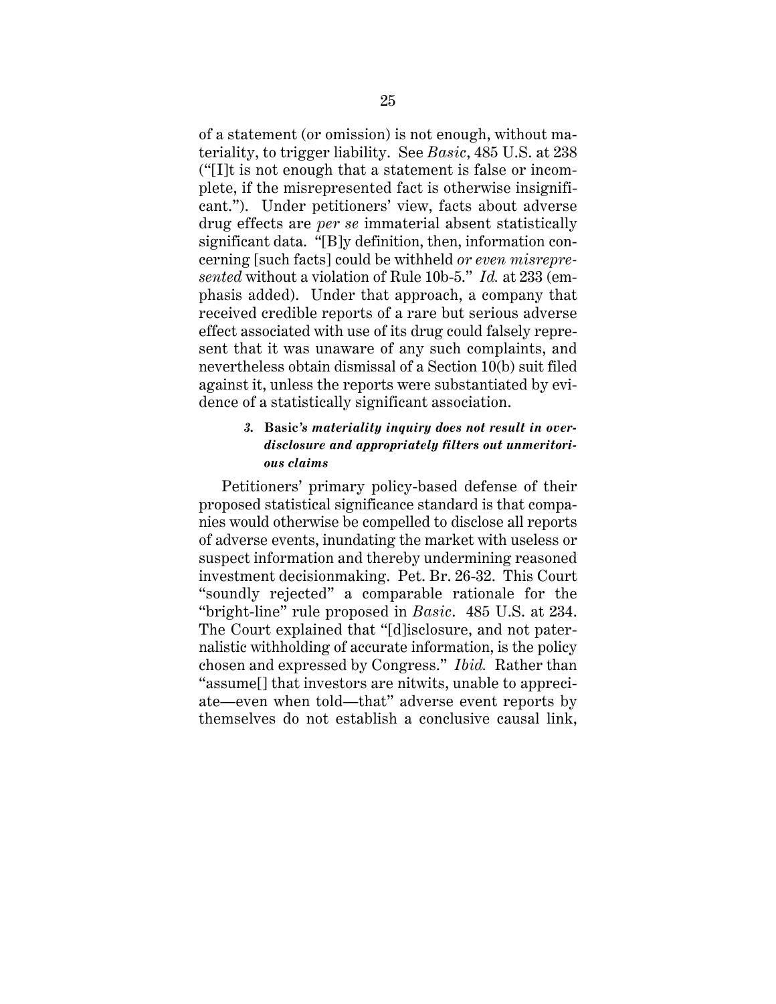of a statement (or omission) is not enough, without materiality, to trigger liability. See *Basic*, 485 U.S. at 238 ("[I]t is not enough that a statement is false or incomplete, if the misrepresented fact is otherwise insignificant."). Under petitioners' view, facts about adverse drug effects are *per se* immaterial absent statistically significant data. "[B]y definition, then, information concerning [such facts] could be withheld *or even misrepresented* without a violation of Rule 10b-5." *Id.* at 233 (emphasis added). Under that approach, a company that received credible reports of a rare but serious adverse effect associated with use of its drug could falsely represent that it was unaware of any such complaints, and nevertheless obtain dismissal of a Section 10(b) suit filed against it, unless the reports were substantiated by evidence of a statistically significant association.

# *3.* **Basic***'s materiality inquiry does not result in overdisclosure and appropriately filters out unmeritorious claims*

Petitioners' primary policy-based defense of their proposed statistical significance standard is that companies would otherwise be compelled to disclose all reports of adverse events, inundating the market with useless or suspect information and thereby undermining reasoned investment decisionmaking. Pet. Br. 26-32. This Court "soundly rejected" a comparable rationale for the "bright-line" rule proposed in *Basic*. 485 U.S. at 234. The Court explained that "[d]isclosure, and not paternalistic withholding of accurate information, is the policy chosen and expressed by Congress." *Ibid.* Rather than "assume[] that investors are nitwits, unable to appreciate—even when told—that" adverse event reports by themselves do not establish a conclusive causal link,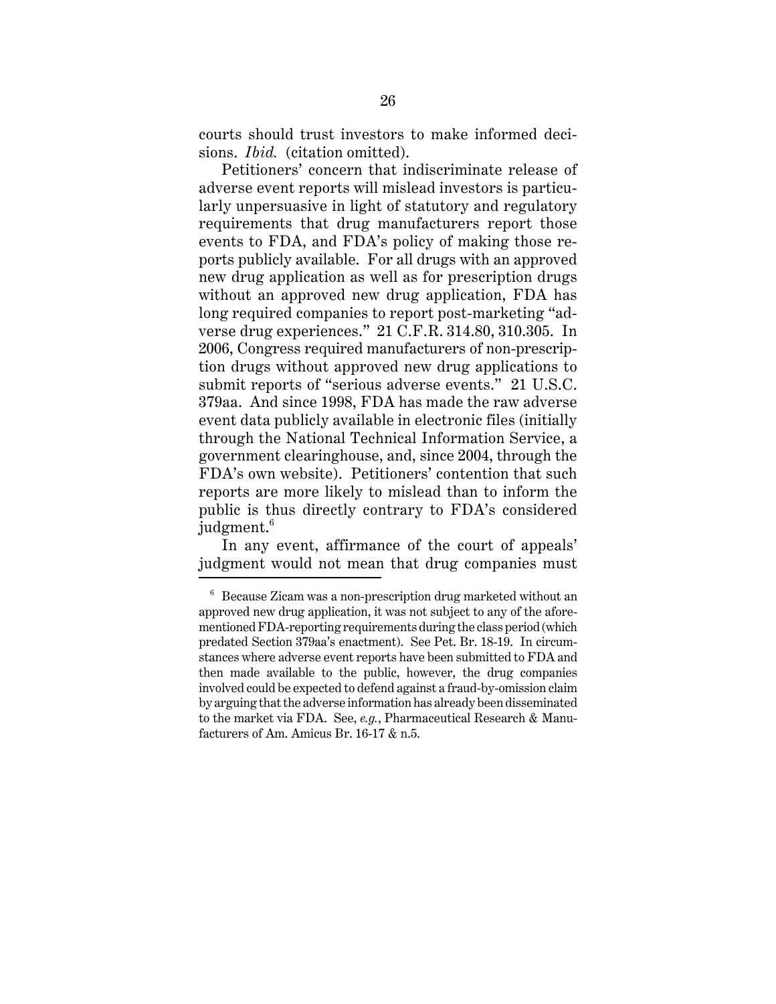courts should trust investors to make informed decisions. *Ibid.* (citation omitted).

Petitioners' concern that indiscriminate release of adverse event reports will mislead investors is particularly unpersuasive in light of statutory and regulatory requirements that drug manufacturers report those events to FDA, and FDA's policy of making those reports publicly available. For all drugs with an approved new drug application as well as for prescription drugs without an approved new drug application, FDA has long required companies to report post-marketing "adverse drug experiences." 21 C.F.R. 314.80, 310.305. In 2006, Congress required manufacturers of non-prescription drugs without approved new drug applications to submit reports of "serious adverse events." 21 U.S.C. 379aa. And since 1998, FDA has made the raw adverse event data publicly available in electronic files (initially through the National Technical Information Service, a government clearinghouse, and, since 2004, through the FDA's own website). Petitioners' contention that such reports are more likely to mislead than to inform the public is thus directly contrary to FDA's considered judgment.<sup>6</sup>

In any event, affirmance of the court of appeals' judgment would not mean that drug companies must

 $6$  Because Zicam was a non-prescription drug marketed without an approved new drug application, it was not subject to any of the aforementioned FDA-reporting requirements during the class period (which predated Section 379aa's enactment). See Pet. Br. 18-19. In circumstances where adverse event reports have been submitted to FDA and then made available to the public, however, the drug companies involved could be expected to defend against a fraud-by-omission claim by arguing that the adverse information has already been disseminated to the market via FDA. See, *e.g.*, Pharmaceutical Research & Manufacturers of Am. Amicus Br. 16-17 & n.5.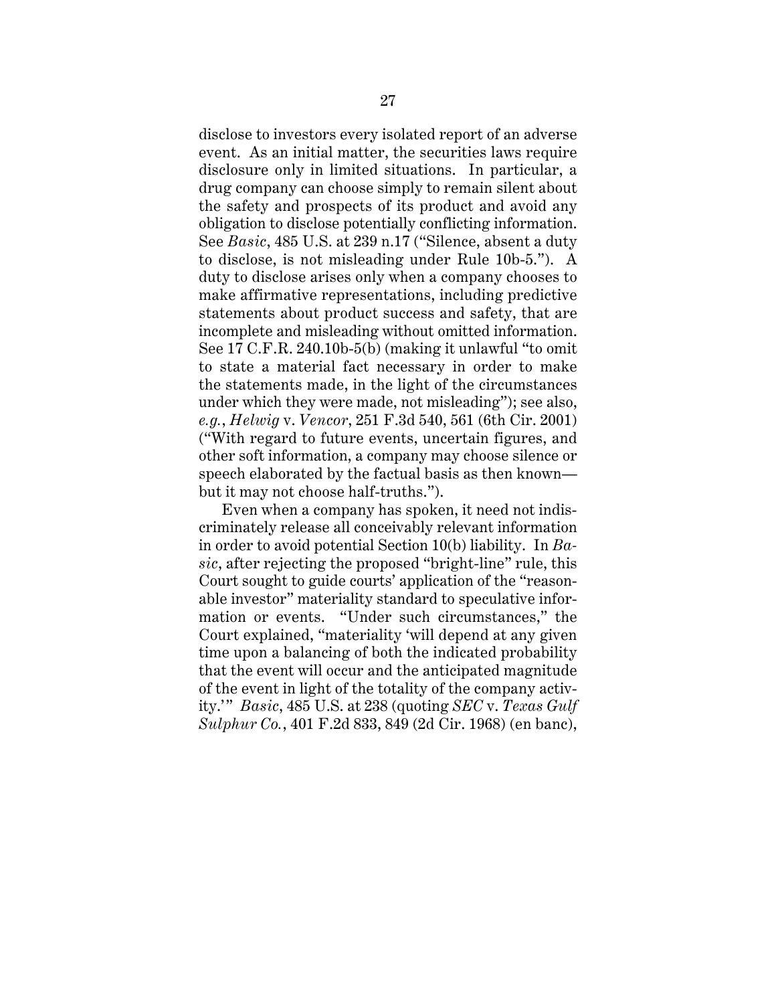disclose to investors every isolated report of an adverse event. As an initial matter, the securities laws require disclosure only in limited situations. In particular, a drug company can choose simply to remain silent about the safety and prospects of its product and avoid any obligation to disclose potentially conflicting information. See *Basic*, 485 U.S. at 239 n.17 ("Silence, absent a duty to disclose, is not misleading under Rule 10b-5."). A duty to disclose arises only when a company chooses to make affirmative representations, including predictive statements about product success and safety, that are incomplete and misleading without omitted information. See 17 C.F.R. 240.10b-5(b) (making it unlawful "to omit to state a material fact necessary in order to make the statements made, in the light of the circumstances under which they were made, not misleading"); see also, *e.g.*, *Helwig* v. *Vencor*, 251 F.3d 540, 561 (6th Cir. 2001) ("With regard to future events, uncertain figures, and other soft information, a company may choose silence or speech elaborated by the factual basis as then known but it may not choose half-truths.").

Even when a company has spoken, it need not indiscriminately release all conceivably relevant information in order to avoid potential Section 10(b) liability. In *Basic*, after rejecting the proposed "bright-line" rule, this Court sought to guide courts' application of the "reasonable investor" materiality standard to speculative information or events. "Under such circumstances," the Court explained, "materiality 'will depend at any given time upon a balancing of both the indicated probability that the event will occur and the anticipated magnitude of the event in light of the totality of the company activity.'" *Basic*, 485 U.S. at 238 (quoting *SEC* v. *Texas Gulf Sulphur Co.*, 401 F.2d 833, 849 (2d Cir. 1968) (en banc),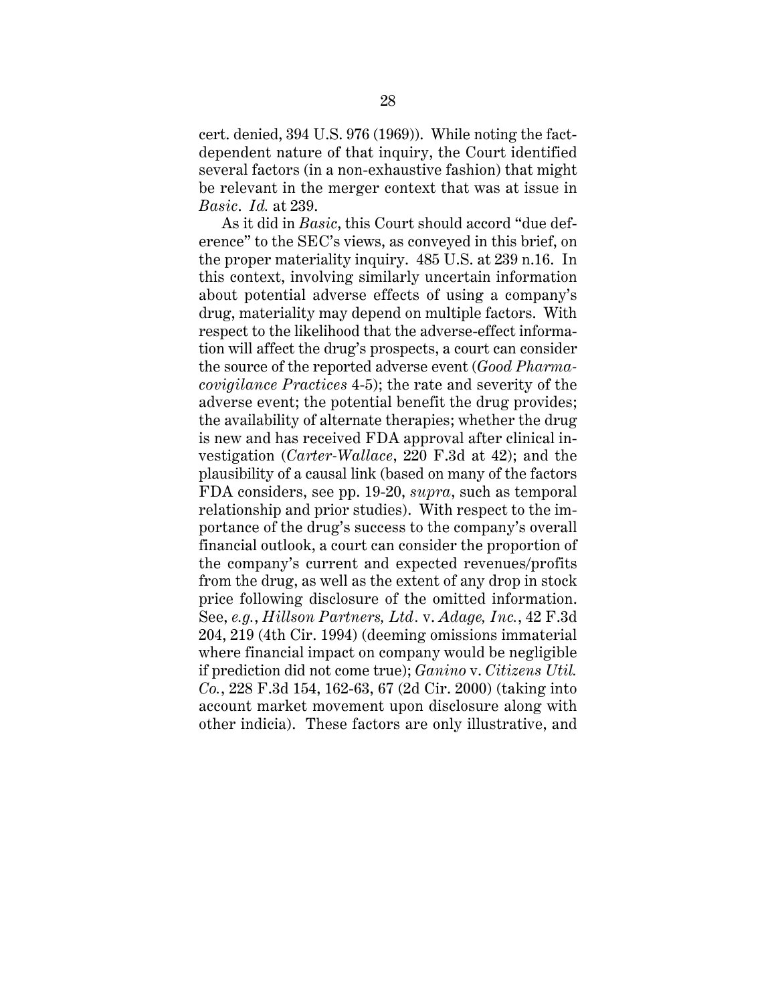cert. denied, 394 U.S. 976 (1969)). While noting the factdependent nature of that inquiry, the Court identified several factors (in a non-exhaustive fashion) that might be relevant in the merger context that was at issue in *Basic*. *Id.* at 239.

As it did in *Basic*, this Court should accord "due deference" to the SEC's views, as conveyed in this brief, on the proper materiality inquiry. 485 U.S. at 239 n.16. In this context, involving similarly uncertain information about potential adverse effects of using a company's drug, materiality may depend on multiple factors. With respect to the likelihood that the adverse-effect information will affect the drug's prospects, a court can consider the source of the reported adverse event (*Good Pharmacovigilance Practices* 4-5); the rate and severity of the adverse event; the potential benefit the drug provides; the availability of alternate therapies; whether the drug is new and has received FDA approval after clinical investigation (*Carter-Wallace*, 220 F.3d at 42); and the plausibility of a causal link (based on many of the factors FDA considers, see pp. 19-20, *supra*, such as temporal relationship and prior studies). With respect to the importance of the drug's success to the company's overall financial outlook, a court can consider the proportion of the company's current and expected revenues/profits from the drug, as well as the extent of any drop in stock price following disclosure of the omitted information. See, *e.g.*, *Hillson Partners, Ltd.* v. *Adage, Inc.*, 42 F.3d 204, 219 (4th Cir. 1994) (deeming omissions immaterial where financial impact on company would be negligible if prediction did not come true); *Ganino* v. *Citizens Util. Co.*, 228 F.3d 154, 162-63, 67 (2d Cir. 2000) (taking into account market movement upon disclosure along with other indicia). These factors are only illustrative, and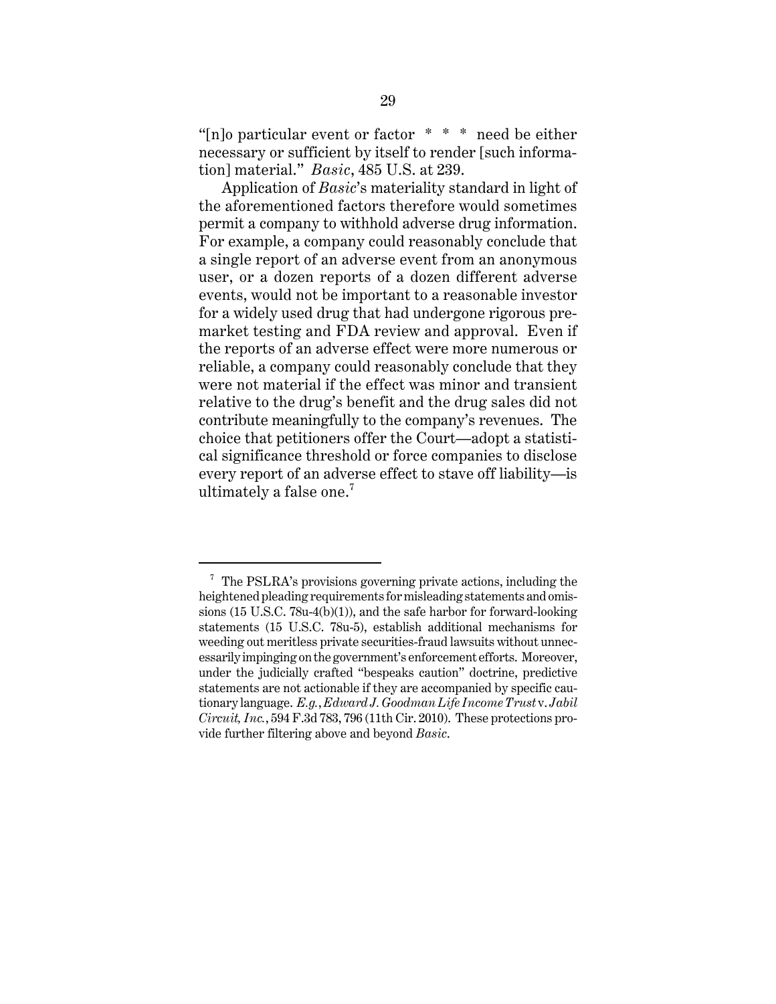"[n]o particular event or factor  $* * *$  need be either necessary or sufficient by itself to render [such information] material." *Basic*, 485 U.S. at 239.

Application of *Basic*'s materiality standard in light of the aforementioned factors therefore would sometimes permit a company to withhold adverse drug information. For example, a company could reasonably conclude that a single report of an adverse event from an anonymous user, or a dozen reports of a dozen different adverse events, would not be important to a reasonable investor for a widely used drug that had undergone rigorous premarket testing and FDA review and approval. Even if the reports of an adverse effect were more numerous or reliable, a company could reasonably conclude that they were not material if the effect was minor and transient relative to the drug's benefit and the drug sales did not contribute meaningfully to the company's revenues. The choice that petitioners offer the Court—adopt a statistical significance threshold or force companies to disclose every report of an adverse effect to stave off liability—is ultimately a false one. $7$ 

 $7$  The PSLRA's provisions governing private actions, including the heightened pleading requirements for misleading statements and omissions (15 U.S.C. 78u-4(b)(1)), and the safe harbor for forward-looking statements (15 U.S.C. 78u-5), establish additional mechanisms for weeding out meritless private securities-fraud lawsuits without unnecessarily impinging on the government's enforcement efforts. Moreover, under the judicially crafted "bespeaks caution" doctrine, predictive statements are not actionable if they are accompanied by specific cautionary language. *E.g.*, *Edward J. Goodman Life Income Trust* v. *Jabil Circuit, Inc.*, 594 F.3d 783, 796 (11th Cir. 2010). These protections provide further filtering above and beyond *Basic*.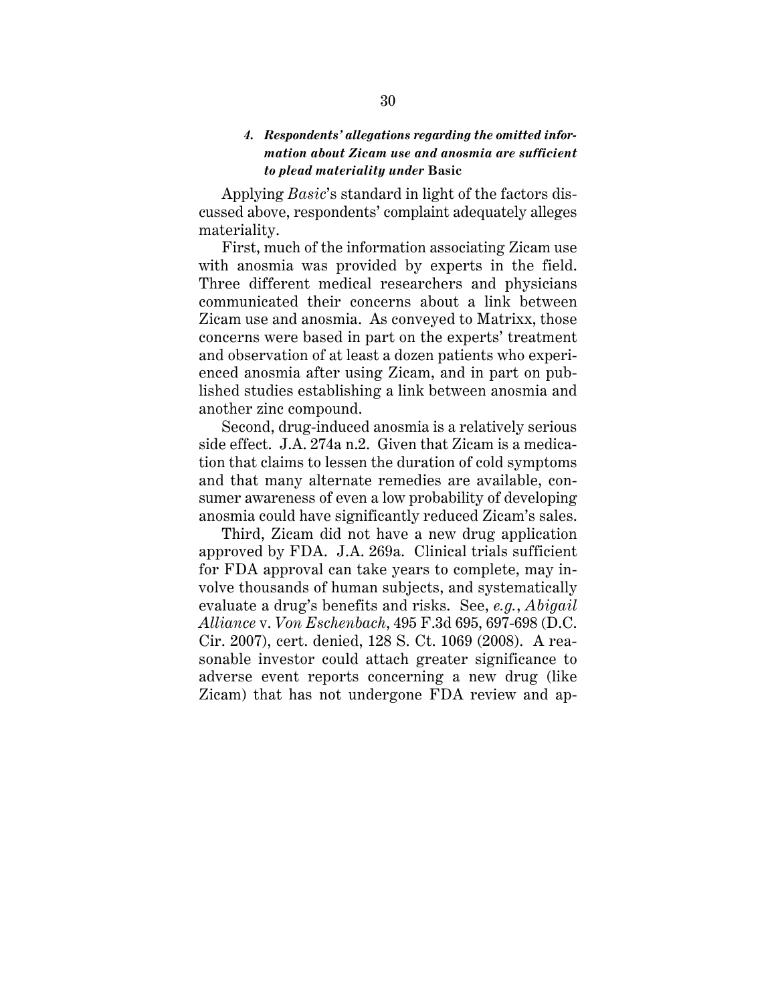# *4. Respondents' allegations regarding the omitted information about Zicam use and anosmia are sufficient to plead materiality under* **Basic**

Applying *Basic*'s standard in light of the factors discussed above, respondents' complaint adequately alleges materiality.

First, much of the information associating Zicam use with anosmia was provided by experts in the field. Three different medical researchers and physicians communicated their concerns about a link between Zicam use and anosmia. As conveyed to Matrixx, those concerns were based in part on the experts' treatment and observation of at least a dozen patients who experienced anosmia after using Zicam, and in part on published studies establishing a link between anosmia and another zinc compound.

Second, drug-induced anosmia is a relatively serious side effect. J.A. 274a n.2. Given that Zicam is a medication that claims to lessen the duration of cold symptoms and that many alternate remedies are available, consumer awareness of even a low probability of developing anosmia could have significantly reduced Zicam's sales.

Third, Zicam did not have a new drug application approved by FDA. J.A. 269a. Clinical trials sufficient for FDA approval can take years to complete, may involve thousands of human subjects, and systematically evaluate a drug's benefits and risks. See, *e.g.*, *Abigail Alliance* v. *Von Eschenbach*, 495 F.3d 695, 697-698 (D.C. Cir. 2007), cert. denied, 128 S. Ct. 1069 (2008). A reasonable investor could attach greater significance to adverse event reports concerning a new drug (like Zicam) that has not undergone FDA review and ap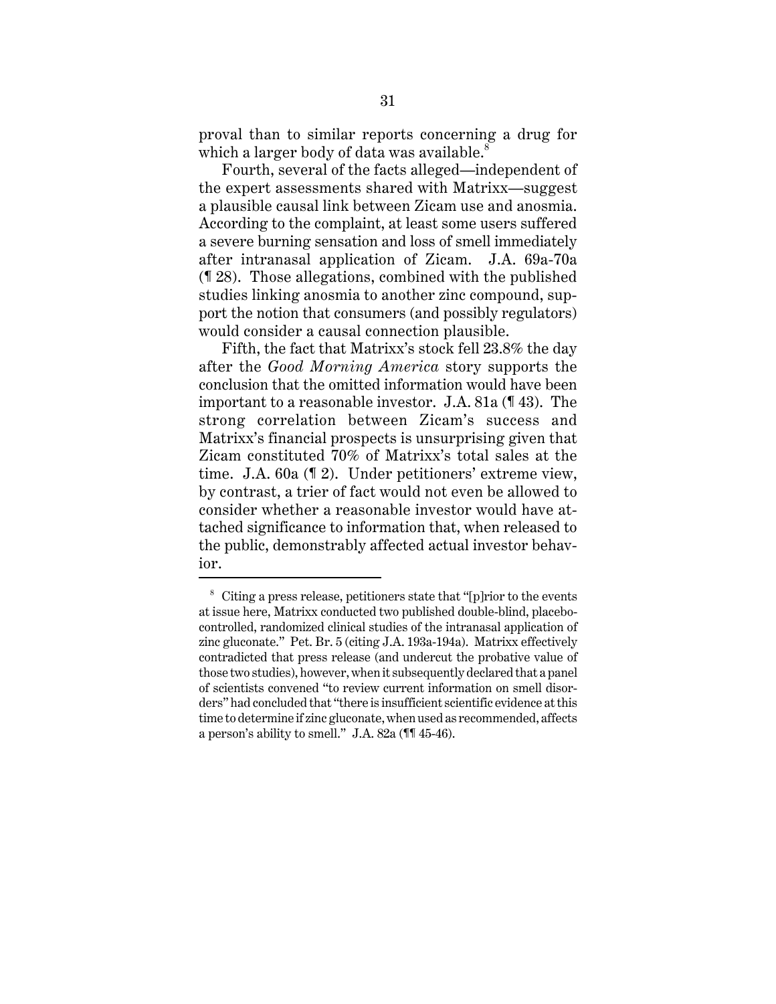proval than to similar reports concerning a drug for which a larger body of data was available.<sup>8</sup>

Fourth, several of the facts alleged—independent of the expert assessments shared with Matrixx—suggest a plausible causal link between Zicam use and anosmia. According to the complaint, at least some users suffered a severe burning sensation and loss of smell immediately after intranasal application of Zicam. J.A. 69a-70a (¶ 28). Those allegations, combined with the published studies linking anosmia to another zinc compound, support the notion that consumers (and possibly regulators) would consider a causal connection plausible.

Fifth, the fact that Matrixx's stock fell 23.8% the day after the *Good Morning America* story supports the conclusion that the omitted information would have been important to a reasonable investor. J.A. 81a (¶ 43). The strong correlation between Zicam's success and Matrixx's financial prospects is unsurprising given that Zicam constituted 70% of Matrixx's total sales at the time. J.A. 60a (¶ 2). Under petitioners' extreme view, by contrast, a trier of fact would not even be allowed to consider whether a reasonable investor would have attached significance to information that, when released to the public, demonstrably affected actual investor behavior.

<sup>8</sup> Citing a press release, petitioners state that "[p]rior to the events at issue here, Matrixx conducted two published double-blind, placebocontrolled, randomized clinical studies of the intranasal application of zinc gluconate." Pet. Br. 5 (citing J.A. 193a-194a). Matrixx effectively contradicted that press release (and undercut the probative value of those two studies), however, when it subsequently declared that a panel of scientists convened "to review current information on smell disorders" had concluded that "there is insufficient scientific evidence at this time to determine if zinc gluconate, when used as recommended, affects a person's ability to smell." J.A. 82a (¶¶ 45-46).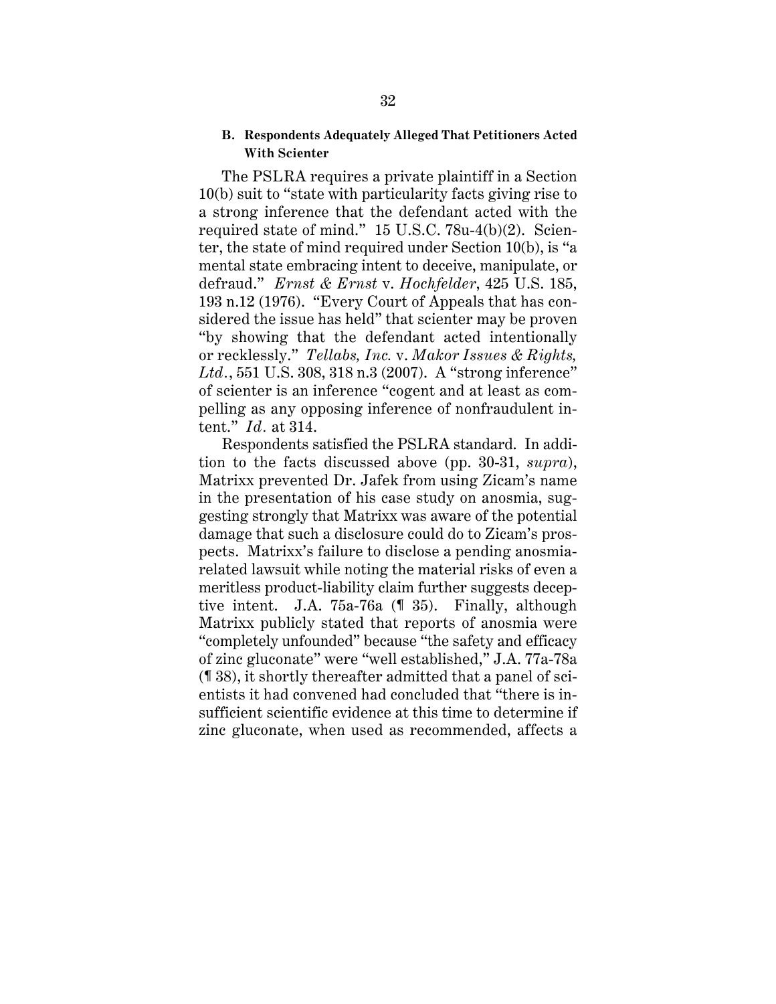### **B. Respondents Adequately Alleged That Petitioners Acted With Scienter**

The PSLRA requires a private plaintiff in a Section 10(b) suit to "state with particularity facts giving rise to a strong inference that the defendant acted with the required state of mind." 15 U.S.C. 78u-4(b)(2). Scienter, the state of mind required under Section 10(b), is "a mental state embracing intent to deceive, manipulate, or defraud." *Ernst & Ernst* v. *Hochfelder*, 425 U.S. 185, 193 n.12 (1976). "Every Court of Appeals that has considered the issue has held" that scienter may be proven "by showing that the defendant acted intentionally or recklessly." *Tellabs, Inc.* v. *Makor Issues & Rights, Ltd.*, 551 U.S. 308, 318 n.3 (2007). A "strong inference" of scienter is an inference "cogent and at least as compelling as any opposing inference of nonfraudulent intent." *Id.* at 314.

Respondents satisfied the PSLRA standard. In addition to the facts discussed above (pp. 30-31, *supra*), Matrixx prevented Dr. Jafek from using Zicam's name in the presentation of his case study on anosmia, suggesting strongly that Matrixx was aware of the potential damage that such a disclosure could do to Zicam's prospects. Matrixx's failure to disclose a pending anosmiarelated lawsuit while noting the material risks of even a meritless product-liability claim further suggests deceptive intent. J.A. 75a-76a (¶ 35). Finally, although Matrixx publicly stated that reports of anosmia were "completely unfounded" because "the safety and efficacy of zinc gluconate" were "well established," J.A. 77a-78a (¶ 38), it shortly thereafter admitted that a panel of scientists it had convened had concluded that "there is insufficient scientific evidence at this time to determine if zinc gluconate, when used as recommended, affects a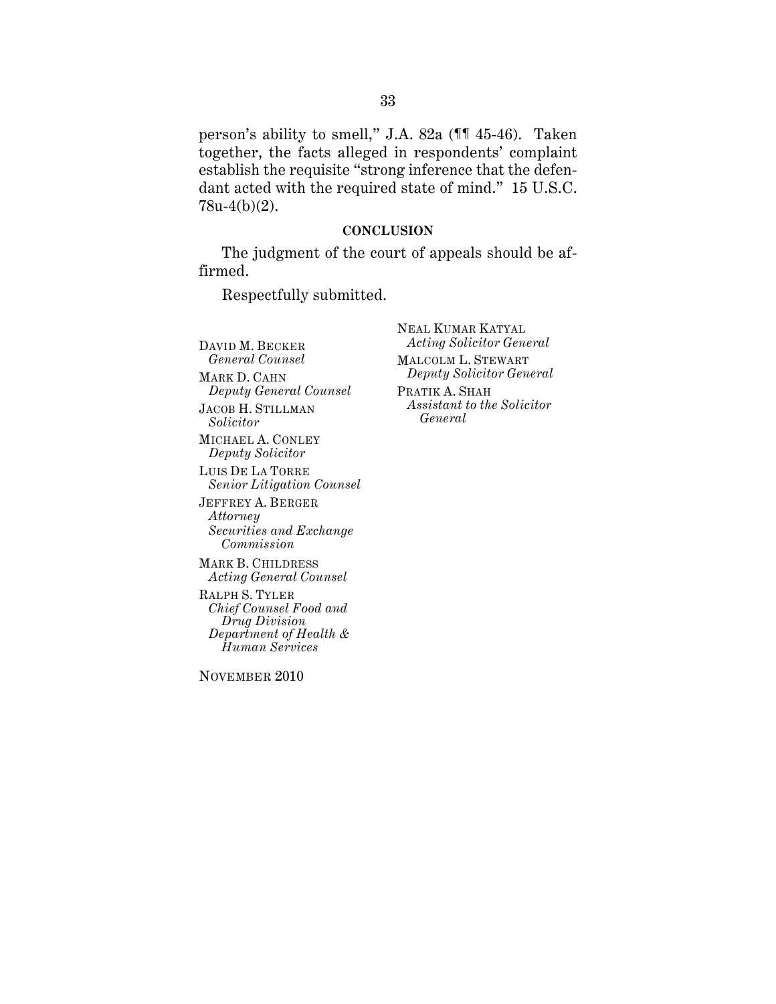person's ability to smell," J.A. 82a (¶¶ 45-46). Taken together, the facts alleged in respondents' complaint establish the requisite "strong inference that the defendant acted with the required state of mind." 15 U.S.C. 78u-4(b)(2).

### **CONCLUSION**

The judgment of the court of appeals should be affirmed.

Respectfully submitted.

DAVID M. BECKER *General Counsel* MARK D. CAHN *Deputy General Counsel* JACOB H. STILLMAN *Solicitor* MICHAEL A. CONLEY *Deputy Solicitor* LUIS DE LA TORRE *Senior Litigation Counsel* JEFFREY A. BERGER *Attorney Securities and Exchange Commission* MARK B. CHILDRESS *Acting General Counsel*  RALPH S. TYLER *Chief Counsel Food and Drug Division Department of Health &* 

NOVEMBER 2010

*Human Services* 

NEAL KUMAR KATYAL *Acting Solicitor General* MALCOLM L. STEWART *Deputy Solicitor General* PRATIK A. SHAH *Assistant to the Solicitor General*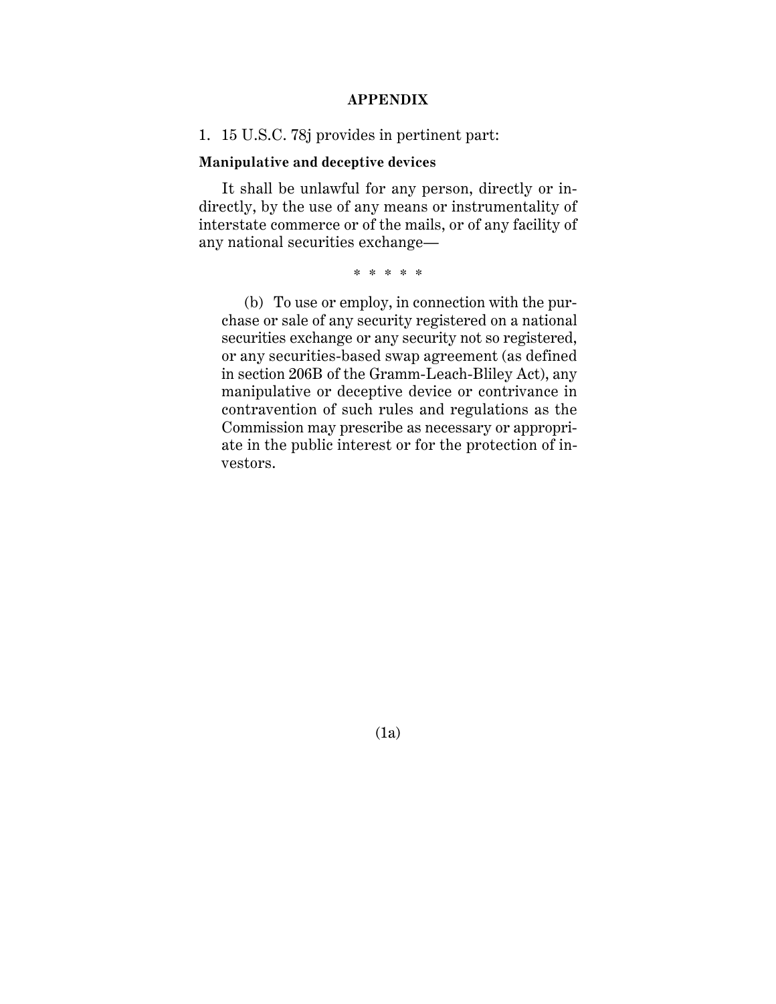## **APPENDIX**

1. 15 U.S.C. 78j provides in pertinent part:

### **Manipulative and deceptive devices**

It shall be unlawful for any person, directly or indirectly, by the use of any means or instrumentality of interstate commerce or of the mails, or of any facility of any national securities exchange—

\* \* \* \* \*

(b) To use or employ, in connection with the purchase or sale of any security registered on a national securities exchange or any security not so registered, or any securities-based swap agreement (as defined in section 206B of the Gramm-Leach-Bliley Act), any manipulative or deceptive device or contrivance in contravention of such rules and regulations as the Commission may prescribe as necessary or appropriate in the public interest or for the protection of investors.

(1a)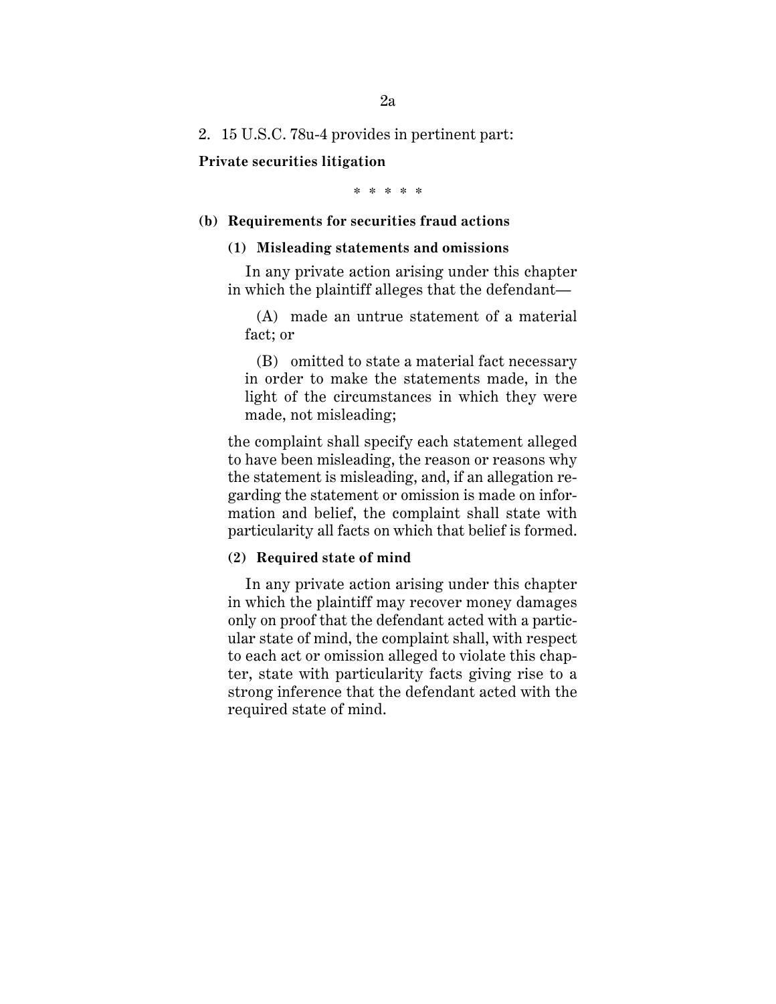2. 15 U.S.C. 78u-4 provides in pertinent part:

**Private securities litigation**

\* \* \* \* \*

#### **(b) Requirements for securities fraud actions**

#### **(1) Misleading statements and omissions**

In any private action arising under this chapter in which the plaintiff alleges that the defendant—

(A) made an untrue statement of a material fact; or

(B) omitted to state a material fact necessary in order to make the statements made, in the light of the circumstances in which they were made, not misleading;

the complaint shall specify each statement alleged to have been misleading, the reason or reasons why the statement is misleading, and, if an allegation regarding the statement or omission is made on information and belief, the complaint shall state with particularity all facts on which that belief is formed.

### **(2) Required state of mind**

In any private action arising under this chapter in which the plaintiff may recover money damages only on proof that the defendant acted with a particular state of mind, the complaint shall, with respect to each act or omission alleged to violate this chapter, state with particularity facts giving rise to a strong inference that the defendant acted with the required state of mind.